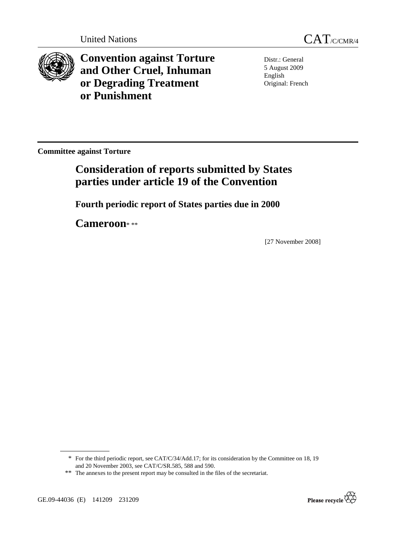



**Convention against Torture and Other Cruel, Inhuman or Degrading Treatment or Punishment**

Distr.: General 5 August 2009 English Original: French

**Committee against Torture** 

# **Consideration of reports submitted by States parties under article 19 of the Convention**

 **Fourth periodic report of States parties due in 2000** 

 **Cameroon**\* \*\*

[27 November 2008]



<sup>\*</sup> For the third periodic report, see CAT/C/34/Add.17; for its consideration by the Committee on 18, 19 and 20 November 2003, see CAT/C/SR.585, 588 and 590.

<sup>\*\*</sup> The annexes to the present report may be consulted in the files of the secretariat.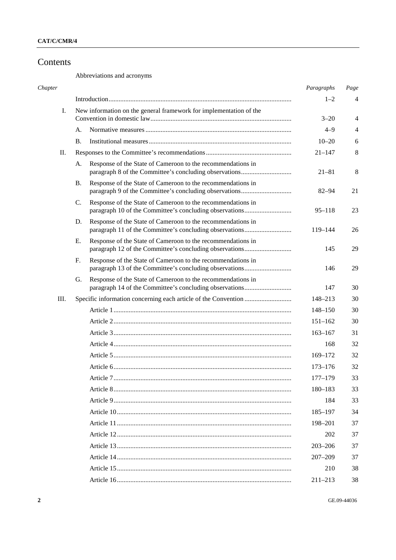## Contents

Abbreviations and acronyms

| Chapter |      |                                                                    |                                                                                                                        | Paragraphs  | Page    |
|---------|------|--------------------------------------------------------------------|------------------------------------------------------------------------------------------------------------------------|-------------|---------|
|         |      |                                                                    |                                                                                                                        | $1 - 2$     | 4       |
|         | I.   | New information on the general framework for implementation of the |                                                                                                                        |             |         |
|         |      |                                                                    |                                                                                                                        | $3 - 20$    | 4       |
|         |      | А.                                                                 |                                                                                                                        | $4 - 9$     | 4       |
|         |      | Β.                                                                 |                                                                                                                        | $10 - 20$   | 6       |
|         | П.   |                                                                    |                                                                                                                        | $21 - 147$  | $\,8\,$ |
|         |      | А.                                                                 | Response of the State of Cameroon to the recommendations in                                                            | $21 - 81$   | 8       |
|         |      | Β.                                                                 | Response of the State of Cameroon to the recommendations in                                                            | $82 - 94$   | 21      |
|         |      | C.                                                                 | Response of the State of Cameroon to the recommendations in                                                            | $95 - 118$  | 23      |
|         |      | D.                                                                 | Response of the State of Cameroon to the recommendations in<br>paragraph 11 of the Committee's concluding observations | 119-144     | 26      |
|         |      | Е.                                                                 | Response of the State of Cameroon to the recommendations in                                                            | 145         | 29      |
|         |      | F.                                                                 | Response of the State of Cameroon to the recommendations in                                                            | 146         | 29      |
|         |      | G.                                                                 | Response of the State of Cameroon to the recommendations in                                                            | 147         | 30      |
|         | III. |                                                                    |                                                                                                                        | 148-213     | 30      |
|         |      |                                                                    |                                                                                                                        | $148 - 150$ | 30      |
|         |      |                                                                    |                                                                                                                        | $151 - 162$ | 30      |
|         |      |                                                                    |                                                                                                                        | $163 - 167$ | 31      |
|         |      |                                                                    |                                                                                                                        | 168         | 32      |
|         |      |                                                                    |                                                                                                                        | $169 - 172$ | 32      |
|         |      |                                                                    |                                                                                                                        | $173 - 176$ | 32      |
|         |      |                                                                    |                                                                                                                        | $177 - 179$ | 33      |
|         |      |                                                                    |                                                                                                                        | 180-183     | 33      |
|         |      |                                                                    |                                                                                                                        | 184         | 33      |
|         |      |                                                                    |                                                                                                                        | 185-197     | 34      |
|         |      |                                                                    |                                                                                                                        | 198-201     | 37      |
|         |      |                                                                    |                                                                                                                        | 202         | 37      |
|         |      |                                                                    |                                                                                                                        | $203 - 206$ | 37      |
|         |      |                                                                    |                                                                                                                        | $207 - 209$ | 37      |
|         |      |                                                                    |                                                                                                                        | 210         | 38      |
|         |      |                                                                    |                                                                                                                        | $211 - 213$ | 38      |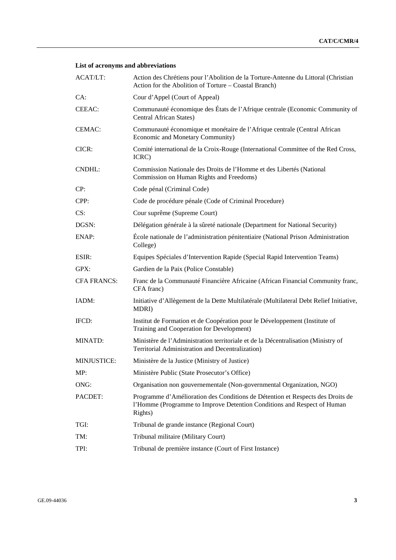## **List of acronyms and abbreviations**

| ACAT/LT:           | Action des Chrétiens pour l'Abolition de la Torture-Antenne du Littoral (Christian<br>Action for the Abolition of Torture - Coastal Branch)                          |
|--------------------|----------------------------------------------------------------------------------------------------------------------------------------------------------------------|
| CA:                | Cour d'Appel (Court of Appeal)                                                                                                                                       |
| CEEAC:             | Communauté économique des États de l'Afrique centrale (Economic Community of<br><b>Central African States)</b>                                                       |
| CEMAC:             | Communauté économique et monétaire de l'Afrique centrale (Central African<br>Economic and Monetary Community)                                                        |
| CICR:              | Comité international de la Croix-Rouge (International Committee of the Red Cross,<br>ICRC)                                                                           |
| <b>CNDHL:</b>      | Commission Nationale des Droits de l'Homme et des Libertés (National<br>Commission on Human Rights and Freedoms)                                                     |
| CP:                | Code pénal (Criminal Code)                                                                                                                                           |
| CPP:               | Code de procédure pénale (Code of Criminal Procedure)                                                                                                                |
| CS:                | Cour suprême (Supreme Court)                                                                                                                                         |
| DGSN:              | Délégation générale à la sûreté nationale (Department for National Security)                                                                                         |
| ENAP:              | École nationale de l'administration pénitentiaire (National Prison Administration<br>College)                                                                        |
| ESIR:              | Equipes Spéciales d'Intervention Rapide (Special Rapid Intervention Teams)                                                                                           |
| GPX:               | Gardien de la Paix (Police Constable)                                                                                                                                |
| <b>CFA FRANCS:</b> | Franc de la Communauté Financière Africaine (African Financial Community franc,<br>CFA franc)                                                                        |
| IADM:              | Initiative d'Allègement de la Dette Multilatérale (Multilateral Debt Relief Initiative,<br>MDRI)                                                                     |
| IFCD:              | Institut de Formation et de Coopération pour le Développement (Institute of<br>Training and Cooperation for Development)                                             |
| MINATD:            | Ministère de l'Administration territoriale et de la Décentralisation (Ministry of<br>Territorial Administration and Decentralization)                                |
| <b>MINJUSTICE:</b> | Ministère de la Justice (Ministry of Justice)                                                                                                                        |
| MP:                | Ministère Public (State Prosecutor's Office)                                                                                                                         |
| ONG:               | Organisation non gouvernementale (Non-governmental Organization, NGO)                                                                                                |
| PACDET:            | Programme d'Amélioration des Conditions de Détention et Respects des Droits de<br>l'Homme (Programme to Improve Detention Conditions and Respect of Human<br>Rights) |
| TGI:               | Tribunal de grande instance (Regional Court)                                                                                                                         |
| TM:                | Tribunal militaire (Military Court)                                                                                                                                  |
| TPI:               | Tribunal de première instance (Court of First Instance)                                                                                                              |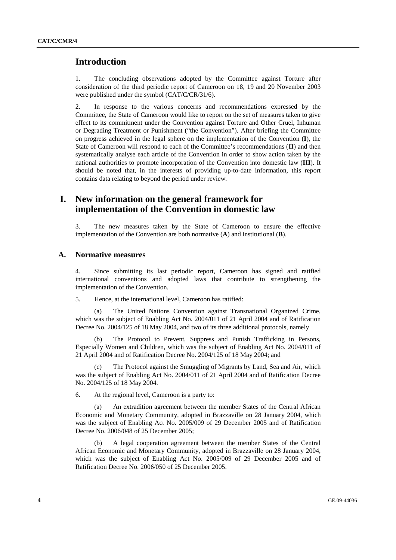## **Introduction**

1. The concluding observations adopted by the Committee against Torture after consideration of the third periodic report of Cameroon on 18, 19 and 20 November 2003 were published under the symbol (CAT/C/CR/31/6).

2. In response to the various concerns and recommendations expressed by the Committee, the State of Cameroon would like to report on the set of measures taken to give effect to its commitment under the Convention against Torture and Other Cruel, Inhuman or Degrading Treatment or Punishment ("the Convention"). After briefing the Committee on progress achieved in the legal sphere on the implementation of the Convention (**I**), the State of Cameroon will respond to each of the Committee's recommendations (**II**) and then systematically analyse each article of the Convention in order to show action taken by the national authorities to promote incorporation of the Convention into domestic law (**III**). It should be noted that, in the interests of providing up-to-date information, this report contains data relating to beyond the period under review.

## **I. New information on the general framework for implementation of the Convention in domestic law**

3. The new measures taken by the State of Cameroon to ensure the effective implementation of the Convention are both normative (**A**) and institutional (**B**).

## **A. Normative measures**

4. Since submitting its last periodic report, Cameroon has signed and ratified international conventions and adopted laws that contribute to strengthening the implementation of the Convention.

5. Hence, at the international level, Cameroon has ratified:

 (a) The United Nations Convention against Transnational Organized Crime, which was the subject of Enabling Act No. 2004/011 of 21 April 2004 and of Ratification Decree No. 2004/125 of 18 May 2004, and two of its three additional protocols, namely

 (b) The Protocol to Prevent, Suppress and Punish Trafficking in Persons, Especially Women and Children, which was the subject of Enabling Act No. 2004/011 of 21 April 2004 and of Ratification Decree No. 2004/125 of 18 May 2004; and

 (c) The Protocol against the Smuggling of Migrants by Land, Sea and Air, which was the subject of Enabling Act No. 2004/011 of 21 April 2004 and of Ratification Decree No. 2004/125 of 18 May 2004.

6. At the regional level, Cameroon is a party to:

 (a) An extradition agreement between the member States of the Central African Economic and Monetary Community, adopted in Brazzaville on 28 January 2004, which was the subject of Enabling Act No. 2005/009 of 29 December 2005 and of Ratification Decree No. 2006/048 of 25 December 2005;

 (b) A legal cooperation agreement between the member States of the Central African Economic and Monetary Community, adopted in Brazzaville on 28 January 2004, which was the subject of Enabling Act No. 2005/009 of 29 December 2005 and of Ratification Decree No. 2006/050 of 25 December 2005.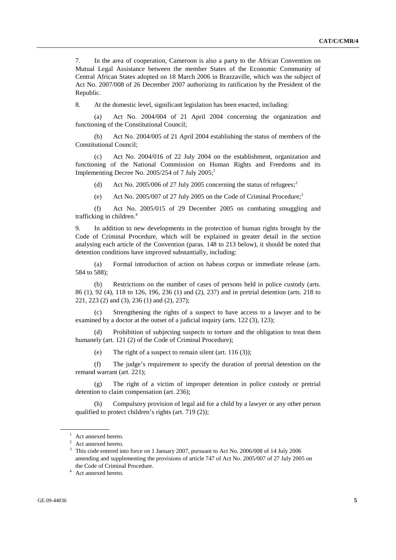7. In the area of cooperation, Cameroon is also a party to the African Convention on Mutual Legal Assistance between the member States of the Economic Community of Central African States adopted on 18 March 2006 in Brazzaville, which was the subject of Act No. 2007/008 of 26 December 2007 authorizing its ratification by the President of the Republic.

8. At the domestic level, significant legislation has been enacted, including:

 (a) Act No. 2004/004 of 21 April 2004 concerning the organization and functioning of the Constitutional Council;

 (b) Act No. 2004/005 of 21 April 2004 establishing the status of members of the Constitutional Council;

 (c) Act No. 2004/016 of 22 July 2004 on the establishment, organization and functioning of the National Commission on Human Rights and Freedoms and its Implementing Decree No. 2005/254 of 7 July  $2005$ ;<sup>1</sup>

(d) Act No. 2005/006 of 27 July 2005 concerning the status of refugees;<sup>2</sup>

(e) Act No. 2005/007 of 27 July 2005 on the Code of Criminal Procedure;<sup>3</sup>

 (f) Act No. 2005/015 of 29 December 2005 on combating smuggling and trafficking in children.<sup>4</sup>

9. In addition to new developments in the protection of human rights brought by the Code of Criminal Procedure, which will be explained in greater detail in the section analysing each article of the Convention (paras. 148 to 213 below), it should be noted that detention conditions have improved substantially, including:

 (a) Formal introduction of action on habeas corpus or immediate release (arts. 584 to 588);

 (b) Restrictions on the number of cases of persons held in police custody (arts. 86 (1), 92 (4), 118 to 126, 196, 236 (1) and (2), 237) and in pretrial detention (arts. 218 to 221, 223 (2) and (3), 236 (1) and (2), 237);

Strengthening the rights of a suspect to have access to a lawyer and to be examined by a doctor at the outset of a judicial inquiry (arts. 122 (3), 123);

 (d) Prohibition of subjecting suspects to torture and the obligation to treat them humanely (art. 121 (2) of the Code of Criminal Procedure);

(e) The right of a suspect to remain silent (art. 116 (3));

 (f) The judge's requirement to specify the duration of pretrial detention on the remand warrant (art. 221);

 (g) The right of a victim of improper detention in police custody or pretrial detention to claim compensation (art. 236);

 (h) Compulsory provision of legal aid for a child by a lawyer or any other person qualified to protect children's rights (art. 719 (2));

<sup>1</sup> Act annexed hereto.

<sup>&</sup>lt;sup>2</sup> Act annexed hereto.

<sup>&</sup>lt;sup>3</sup> This code entered into force on 1 January 2007, pursuant to Act No. 2006/008 of 14 July 2006 amending and supplementing the provisions of article 747 of Act No. 2005/007 of 27 July 2005 on the Code of Criminal Procedure.

<sup>&</sup>lt;sup>4</sup> Act annexed hereto.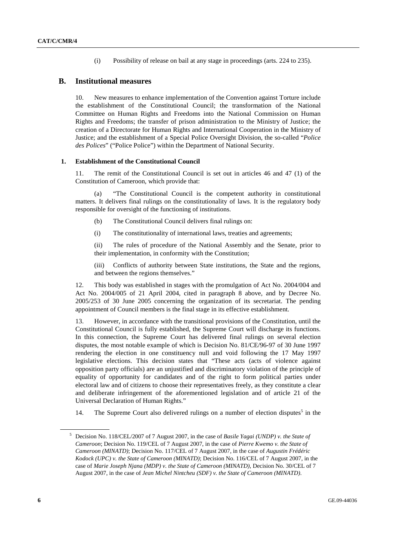(i) Possibility of release on bail at any stage in proceedings (arts. 224 to 235).

### **B. Institutional measures**

10. New measures to enhance implementation of the Convention against Torture include the establishment of the Constitutional Council; the transformation of the National Committee on Human Rights and Freedoms into the National Commission on Human Rights and Freedoms; the transfer of prison administration to the Ministry of Justice; the creation of a Directorate for Human Rights and International Cooperation in the Ministry of Justice; and the establishment of a Special Police Oversight Division, the so-called "*Police des Polices*" ("Police Police") within the Department of National Security.

## **1. Establishment of the Constitutional Council**

11. The remit of the Constitutional Council is set out in articles 46 and 47 (1) of the Constitution of Cameroon, which provide that:

 (a) "The Constitutional Council is the competent authority in constitutional matters. It delivers final rulings on the constitutionality of laws. It is the regulatory body responsible for oversight of the functioning of institutions.

- (b) The Constitutional Council delivers final rulings on:
- (i) The constitutionality of international laws, treaties and agreements;

 (ii) The rules of procedure of the National Assembly and the Senate, prior to their implementation, in conformity with the Constitution;

 (iii) Conflicts of authority between State institutions, the State and the regions, and between the regions themselves."

12. This body was established in stages with the promulgation of Act No. 2004/004 and Act No. 2004/005 of 21 April 2004, cited in paragraph 8 above, and by Decree No. 2005/253 of 30 June 2005 concerning the organization of its secretariat. The pending appointment of Council members is the final stage in its effective establishment.

13. However, in accordance with the transitional provisions of the Constitution, until the Constitutional Council is fully established, the Supreme Court will discharge its functions. In this connection, the Supreme Court has delivered final rulings on several election disputes, the most notable example of which is Decision No. 81/CE/96-97 of 30 June 1997 rendering the election in one constituency null and void following the 17 May 1997 legislative elections. This decision states that "These acts (acts of violence against opposition party officials) are an unjustified and discriminatory violation of the principle of equality of opportunity for candidates and of the right to form political parties under electoral law and of citizens to choose their representatives freely, as they constitute a clear and deliberate infringement of the aforementioned legislation and of article 21 of the Universal Declaration of Human Rights."

14. The Supreme Court also delivered rulings on a number of election disputes<sup>5</sup> in the

<sup>5</sup> Decision No. 118/CEL/2007 of 7 August 2007, in the case of *Basile Yagai (UNDP) v. the State of Cameroon*; Decision No. 119/CEL of 7 August 2007, in the case of *Pierre Kwemo v. the State of Cameroon (MINATD)*; Decision No. 117/CEL of 7 August 2007, in the case of *Augustin Frédéric Kodock (UPC) v. the State of Cameroon (MINATD)*; Decision No. 116/CEL of 7 August 2007, in the case of *Marie Joseph Njana (MDP) v. the State of Cameroon (MINATD)*, Decision No. 30/CEL of 7 August 2007, in the case of *Jean Michel Nintcheu (SDF) v. the State of Cameroon (MINATD)*.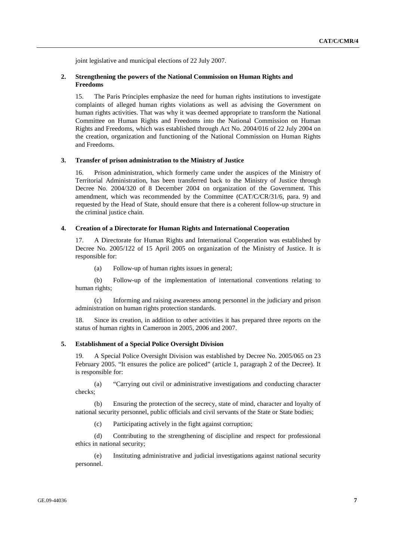joint legislative and municipal elections of 22 July 2007.

### **2. Strengthening the powers of the National Commission on Human Rights and Freedoms**

15. The Paris Principles emphasize the need for human rights institutions to investigate complaints of alleged human rights violations as well as advising the Government on human rights activities. That was why it was deemed appropriate to transform the National Committee on Human Rights and Freedoms into the National Commission on Human Rights and Freedoms, which was established through Act No. 2004/016 of 22 July 2004 on the creation, organization and functioning of the National Commission on Human Rights and Freedoms.

#### **3. Transfer of prison administration to the Ministry of Justice**

16. Prison administration, which formerly came under the auspices of the Ministry of Territorial Administration, has been transferred back to the Ministry of Justice through Decree No. 2004/320 of 8 December 2004 on organization of the Government. This amendment, which was recommended by the Committee (CAT/C/CR/31/6, para. 9) and requested by the Head of State, should ensure that there is a coherent follow-up structure in the criminal justice chain.

#### **4. Creation of a Directorate for Human Rights and International Cooperation**

17. A Directorate for Human Rights and International Cooperation was established by Decree No. 2005/122 of 15 April 2005 on organization of the Ministry of Justice. It is responsible for:

(a) Follow-up of human rights issues in general;

 (b) Follow-up of the implementation of international conventions relating to human rights;

 (c) Informing and raising awareness among personnel in the judiciary and prison administration on human rights protection standards.

18. Since its creation, in addition to other activities it has prepared three reports on the status of human rights in Cameroon in 2005, 2006 and 2007.

### **5. Establishment of a Special Police Oversight Division**

19. A Special Police Oversight Division was established by Decree No. 2005/065 on 23 February 2005. "It ensures the police are policed" (article 1, paragraph 2 of the Decree). It is responsible for:

 (a) "Carrying out civil or administrative investigations and conducting character checks;

 (b) Ensuring the protection of the secrecy, state of mind, character and loyalty of national security personnel, public officials and civil servants of the State or State bodies;

(c) Participating actively in the fight against corruption;

 (d) Contributing to the strengthening of discipline and respect for professional ethics in national security;

 (e) Instituting administrative and judicial investigations against national security personnel.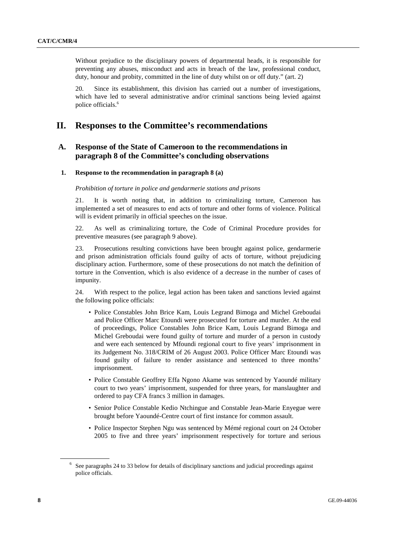Without prejudice to the disciplinary powers of departmental heads, it is responsible for preventing any abuses, misconduct and acts in breach of the law, professional conduct, duty, honour and probity, committed in the line of duty whilst on or off duty." (art. 2)

20. Since its establishment, this division has carried out a number of investigations, which have led to several administrative and/or criminal sanctions being levied against police officials.6

## **II. Responses to the Committee's recommendations**

## **A. Response of the State of Cameroon to the recommendations in paragraph 8 of the Committee's concluding observations**

#### **1. Response to the recommendation in paragraph 8 (a)**

#### *Prohibition of torture in police and gendarmerie stations and prisons*

21. It is worth noting that, in addition to criminalizing torture, Cameroon has implemented a set of measures to end acts of torture and other forms of violence. Political will is evident primarily in official speeches on the issue.

22. As well as criminalizing torture, the Code of Criminal Procedure provides for preventive measures (see paragraph 9 above).

23. Prosecutions resulting convictions have been brought against police, gendarmerie and prison administration officials found guilty of acts of torture, without prejudicing disciplinary action. Furthermore, some of these prosecutions do not match the definition of torture in the Convention, which is also evidence of a decrease in the number of cases of impunity.

24. With respect to the police, legal action has been taken and sanctions levied against the following police officials:

- Police Constables John Brice Kam, Louis Legrand Bimoga and Michel Greboudai and Police Officer Marc Etoundi were prosecuted for torture and murder. At the end of proceedings, Police Constables John Brice Kam, Louis Legrand Bimoga and Michel Greboudai were found guilty of torture and murder of a person in custody and were each sentenced by Mfoundi regional court to five years' imprisonment in its Judgement No. 318/CRIM of 26 August 2003. Police Officer Marc Etoundi was found guilty of failure to render assistance and sentenced to three months' imprisonment.
- Police Constable Geoffrey Effa Ngono Akame was sentenced by Yaoundé military court to two years' imprisonment, suspended for three years, for manslaughter and ordered to pay CFA francs 3 million in damages.
- Senior Police Constable Kedio Ntchingue and Constable Jean-Marie Enyegue were brought before Yaoundé-Centre court of first instance for common assault.
- Police Inspector Stephen Ngu was sentenced by Mémé regional court on 24 October 2005 to five and three years' imprisonment respectively for torture and serious

<sup>&</sup>lt;sup>6</sup> See paragraphs 24 to 33 below for details of disciplinary sanctions and judicial proceedings against police officials.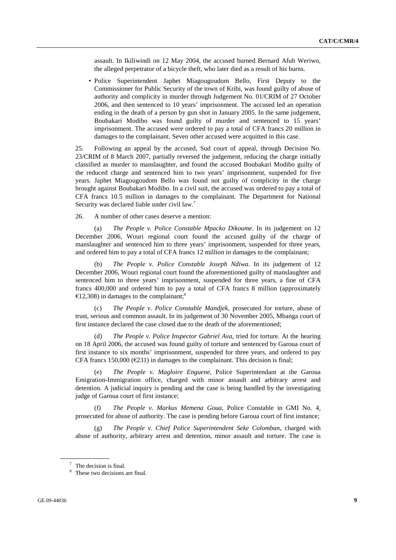assault. In Ikiliwindi on 12 May 2004, the accused burned Bernard Afuh Weriwo, the alleged perpetrator of a bicycle theft, who later died as a result of his burns.

• Police Superintendent Japhet Miagougoudom Bello, First Deputy to the Commissioner for Public Security of the town of Kribi, was found guilty of abuse of authority and complicity in murder through Judgement No. 01/CRIM of 27 October 2006, and then sentenced to 10 years' imprisonment. The accused led an operation ending in the death of a person by gun shot in January 2005. In the same judgement, Boubakari Modibo was found guilty of murder and sentenced to 15 years' imprisonment. The accused were ordered to pay a total of CFA francs 20 million in damages to the complainant. Seven other accused were acquitted in this case.

25. Following an appeal by the accused, Sud court of appeal, through Decision No. 23/CRIM of 8 March 2007, partially reversed the judgement, reducing the charge initially classified as murder to manslaughter, and found the accused Boubakari Modibo guilty of the reduced charge and sentenced him to two years' imprisonment, suspended for five years. Japhet Miagougoudom Bello was found not guilty of complicity in the charge brought against Boubakari Modibo. In a civil suit, the accused was ordered to pay a total of CFA francs 10.5 million in damages to the complainant. The Department for National Security was declared liable under civil law.<sup>7</sup>

26. A number of other cases deserve a mention:

 (a) *The People v. Police Constable Mpacko Dikoume*. In its judgement on 12 December 2006, Wouri regional court found the accused guilty of the charge of manslaughter and sentenced him to three years' imprisonment, suspended for three years, and ordered him to pay a total of CFA francs 12 million in damages to the complainant;

 (b) *The People v. Police Constable Joseph Ndiwa*. In its judgement of 12 December 2006, Wouri regional court found the aforementioned guilty of manslaughter and sentenced him to three years' imprisonment, suspended for three years, a fine of CFA francs 400,000 and ordered him to pay a total of CFA francs 8 million (approximately  $\epsilon$ 12,308) in damages to the complainant;<sup>8</sup>

 (c) *The People v. Police Constable Mandjek*, prosecuted for torture, abuse of trust, serious and common assault. In its judgement of 30 November 2005, Mbanga court of first instance declared the case closed due to the death of the aforementioned;

The People v. Police Inspector Gabriel Ava, tried for torture. At the hearing on 18 April 2006, the accused was found guilty of torture and sentenced by Garoua court of first instance to six months' imprisonment, suspended for three years, and ordered to pay CFA francs 150,000 ( $\epsilon$ 231) in damages to the complainant. This decision is final;

 (e) *The People v. Magloire Enguene*, Police Superintendant at the Garoua Emigration-Immigration office, charged with minor assault and arbitrary arrest and detention. A judicial inquiry is pending and the case is being handled by the investigating judge of Garoua court of first instance;

 (f) *The People v. Markus Memena Goua*, Police Constable in GMI No. 4, prosecuted for abuse of authority. The case is pending before Garoua court of first instance;

 (g) *The People v. Chief Police Superintendent Seke Colomban*, charged with abuse of authority, arbitrary arrest and detention, minor assault and torture. The case is

<sup>7</sup> The decision is final.

<sup>&</sup>lt;sup>8</sup> These two decisions are final.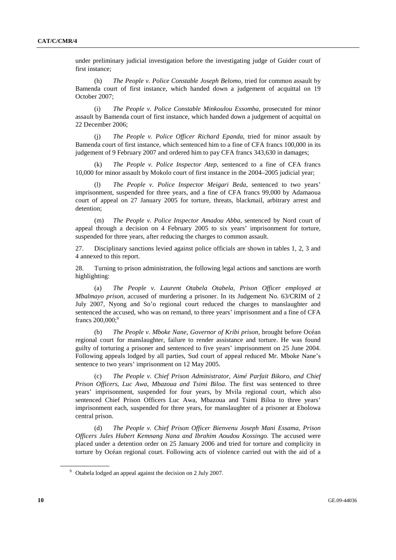under preliminary judicial investigation before the investigating judge of Guider court of first instance;

 (h) *The People v. Police Constable Joseph Belomo*, tried for common assault by Bamenda court of first instance, which handed down a judgement of acquittal on 19 October 2007;

 (i) *The People v. Police Constable Minkoulou Essomba*, prosecuted for minor assault by Bamenda court of first instance, which handed down a judgement of acquittal on 22 December 2006;

 (j) *The People v. Police Officer Richard Epanda*, tried for minor assault by Bamenda court of first instance, which sentenced him to a fine of CFA francs 100,000 in its judgement of 9 February 2007 and ordered him to pay CFA francs 343,630 in damages;

 (k) *The People v. Police Inspector Atep*, sentenced to a fine of CFA francs 10,000 for minor assault by Mokolo court of first instance in the 2004–2005 judicial year;

 (l) *The People v. Police Inspector Meigari Beda*, sentenced to two years' imprisonment, suspended for three years, and a fine of CFA francs 99,000 by Adamaoua court of appeal on 27 January 2005 for torture, threats, blackmail, arbitrary arrest and detention;

 (m) *The People v. Police Inspector Amadou Abba*, sentenced by Nord court of appeal through a decision on 4 February 2005 to six years' imprisonment for torture, suspended for three years, after reducing the charges to common assault.

27. Disciplinary sanctions levied against police officials are shown in tables 1, 2, 3 and 4 annexed to this report.

28. Turning to prison administration, the following legal actions and sanctions are worth highlighting:

 (a) *The People v. Laurent Otabela Otabela*, *Prison Officer employed at Mbalmayo prison*, accused of murdering a prisoner. In its Judgement No. 63/CRIM of 2 July 2007, Nyong and So'o regional court reduced the charges to manslaughter and sentenced the accused, who was on remand, to three years' imprisonment and a fine of CFA francs  $200,000$ ;<sup>9</sup>

 (b) *The People v. Mboke Nane, Governor of Kribi prison*, brought before Océan regional court for manslaughter, failure to render assistance and torture. He was found guilty of torturing a prisoner and sentenced to five years' imprisonment on 25 June 2004. Following appeals lodged by all parties, Sud court of appeal reduced Mr. Mboke Nane's sentence to two years' imprisonment on 12 May 2005.

 (c) *The People v. Chief Prison Administrator*, *Aimé Parfait Bikoro*, *and Chief Prison Officers*, *Luc Awa*, *Mbazoua and Tsimi Biloa*. The first was sentenced to three years' imprisonment, suspended for four years, by Mvila regional court, which also sentenced Chief Prison Officers Luc Awa, Mbazoua and Tsimi Biloa to three years' imprisonment each, suspended for three years, for manslaughter of a prisoner at Ebolowa central prison.

 (d) *The People v. Chief Prison Officer Bienvenu Joseph Mani Essama*, *Prison Officers Jules Hubert Kemnang Nana and Ibrahim Aoudou Kossingo*. The accused were placed under a detention order on 25 January 2006 and tried for torture and complicity in torture by Océan regional court. Following acts of violence carried out with the aid of a

<sup>&</sup>lt;sup>9</sup> Otabela lodged an appeal against the decision on 2 July 2007.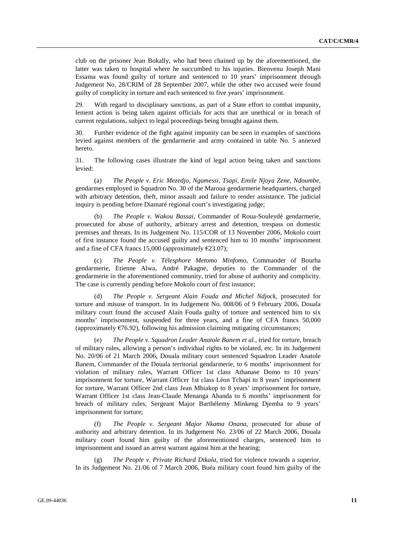club on the prisoner Jean Bokally, who had been chained up by the aforementioned, the latter was taken to hospital where he succumbed to his injuries. Bienvenu Joseph Mani Essama was found guilty of torture and sentenced to 10 years' imprisonment through Judgement No. 28/CRIM of 28 September 2007, while the other two accused were found guilty of complicity in torture and each sentenced to five years' imprisonment.

29. With regard to disciplinary sanctions, as part of a State effort to combat impunity, lenient action is being taken against officials for acts that are unethical or in breach of current regulations, subject to legal proceedings being brought against them.

30. Further evidence of the fight against impunity can be seen in examples of sanctions levied against members of the gendarmerie and army contained in table No. 5 annexed hereto.

31. The following cases illustrate the kind of legal action being taken and sanctions levied:

(a) *The People v. Eric Mezedjo, Ngamessi, Tsapi, Emile Njoya Zene, Ndoumbe*, gendarmes employed in Squadron No. 30 of the Maroua gendarmerie headquarters, charged with arbitrary detention, theft, minor assault and failure to render assistance. The judicial inquiry is pending before Diamaré regional court's investigating judge;

 (b) *The People v. Wakou Bassai*, Commander of Roua-Souleydé gendarmerie, prosecuted for abuse of authority, arbitrary arrest and detention, trespass on domestic premises and threats. In its Judgement No. 115/COR of 13 November 2006, Mokolo court of first instance found the accused guilty and sentenced him to 10 months' imprisonment and a fine of CFA francs 15,000 (approximately  $\epsilon$ 23.07);

 (c) *The People v. Télesphore Metomo Minfomo*, Commander of Bourha gendarmerie, Etienne Alwa, André Pakagne, deputies to the Commander of the gendarmerie in the aforementioned community, tried for abuse of authority and complicity. The case is currently pending before Mokolo court of first instance;

 (d) *The People v. Sergeant Alain Fouda and Michel Ndjock*, prosecuted for torture and misuse of transport. In its Judgement No. 008/06 of 9 February 2006, Douala military court found the accused Alain Fouda guilty of torture and sentenced him to six months' imprisonment, suspended for three years, and a fine of CFA francs 50,000 (approximately  $\epsilon$ 76.92), following his admission claiming mitigating circumstances;

 (e) *The People v. Squadron Leader Anatole Banem et al.*, tried for torture, breach of military rules, allowing a person's individual rights to be violated, etc. In its Judgement No. 20/06 of 21 March 2006, Douala military court sentenced Squadron Leader Anatole Banem, Commander of the Douala territorial gendarmerie, to 6 months' imprisonment for violation of military rules, Warrant Officer 1st class Athanase Domo to 10 years' imprisonment for torture, Warrant Officer 1st class Léon Tchapi to 8 years' imprisonment for torture, Warrant Officer 2nd class Jean Mbiakop to 8 years' imprisonment for torture, Warrant Officer 1st class Jean-Claude Menanga Ahanda to 6 months' imprisonment for breach of military rules, Sergeant Major Barthélemy Minkeng Djemba to 9 years' imprisonment for torture;

 (f) *The People v. Sergeant Major Nkama Onana*, prosecuted for abuse of authority and arbitrary detention. In its Judgement No. 23/06 of 22 March 2006, Douala military court found him guilty of the aforementioned charges, sentenced him to imprisonment and issued an arrest warrant against him at the hearing;

 (g) *The People v. Private Richard Dikala*, tried for violence towards a superior. In its Judgement No. 21/06 of 7 March 2006, Buéa military court found him guilty of the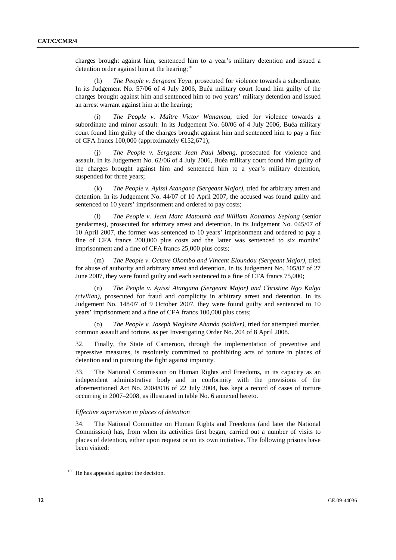charges brought against him, sentenced him to a year's military detention and issued a detention order against him at the hearing; $10$ 

 (h) *The People v. Sergeant Yaya*, prosecuted for violence towards a subordinate. In its Judgement No. 57/06 of 4 July 2006, Buéa military court found him guilty of the charges brought against him and sentenced him to two years' military detention and issued an arrest warrant against him at the hearing;

 (i) *The People v. Maître Victor Wanamou*, tried for violence towards a subordinate and minor assault. In its Judgement No. 60/06 of 4 July 2006, Buéa military court found him guilty of the charges brought against him and sentenced him to pay a fine of CFA francs 100,000 (approximately  $£152,671$ );

 (j) *The People v. Sergeant Jean Paul Mbeng*, prosecuted for violence and assault. In its Judgement No. 62/06 of 4 July 2006, Buéa military court found him guilty of the charges brought against him and sentenced him to a year's military detention, suspended for three years;

 (k) *The People v. Ayissi Atangana (Sergeant Major)*, tried for arbitrary arrest and detention. In its Judgement No. 44/07 of 10 April 2007, the accused was found guilty and sentenced to 10 years' imprisonment and ordered to pay costs;

 (l) *The People v. Jean Marc Matoumb and William Kouamou Seplong* (senior gendarmes), prosecuted for arbitrary arrest and detention. In its Judgement No. 045/07 of 10 April 2007, the former was sentenced to 10 years' imprisonment and ordered to pay a fine of CFA francs 200,000 plus costs and the latter was sentenced to six months' imprisonment and a fine of CFA francs 25,000 plus costs;

 (m) *The People v. Octave Okombo and Vincent Eloundou (Sergeant Major)*, tried for abuse of authority and arbitrary arrest and detention. In its Judgement No. 105/07 of 27 June 2007, they were found guilty and each sentenced to a fine of CFA francs 75,000;

 (n) *The People v. Ayissi Atangana (Sergeant Major) and Christine Ngo Kalga (civilian)*, prosecuted for fraud and complicity in arbitrary arrest and detention. In its Judgement No. 148/07 of 9 October 2007, they were found guilty and sentenced to 10 years' imprisonment and a fine of CFA francs 100,000 plus costs;

 (o) *The People v. Joseph Magloire Ahanda (soldier)*, tried for attempted murder, common assault and torture, as per Investigating Order No. 204 of 8 April 2008.

32. Finally, the State of Cameroon, through the implementation of preventive and repressive measures, is resolutely committed to prohibiting acts of torture in places of detention and in pursuing the fight against impunity.

33. The National Commission on Human Rights and Freedoms, in its capacity as an independent administrative body and in conformity with the provisions of the aforementioned Act No. 2004/016 of 22 July 2004, has kept a record of cases of torture occurring in 2007–2008, as illustrated in table No. 6 annexed hereto.

#### *Effective supervision in places of detention*

34. The National Committee on Human Rights and Freedoms (and later the National Commission) has, from when its activities first began, carried out a number of visits to places of detention, either upon request or on its own initiative. The following prisons have been visited:

 $10$  He has appealed against the decision.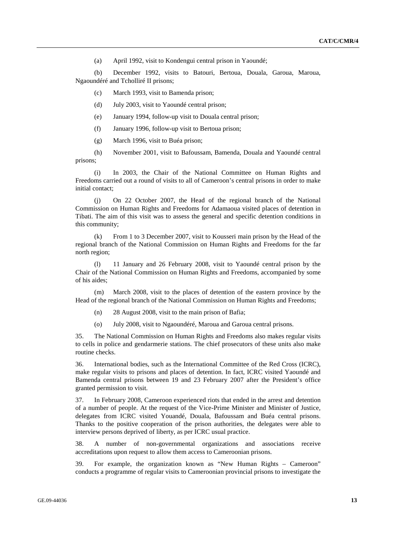(a) April 1992, visit to Kondengui central prison in Yaoundé;

 (b) December 1992, visits to Batouri, Bertoua, Douala, Garoua, Maroua, Ngaoundéré and Tcholliré II prisons;

- (c) March 1993, visit to Bamenda prison;
- (d) July 2003, visit to Yaoundé central prison;
- (e) January 1994, follow-up visit to Douala central prison;
- (f) January 1996, follow-up visit to Bertoua prison;
- (g) March 1996, visit to Buéa prison;

 (h) November 2001, visit to Bafoussam, Bamenda, Douala and Yaoundé central prisons;

 (i) In 2003, the Chair of the National Committee on Human Rights and Freedoms carried out a round of visits to all of Cameroon's central prisons in order to make initial contact;

 (j) On 22 October 2007, the Head of the regional branch of the National Commission on Human Rights and Freedoms for Adamaoua visited places of detention in Tibati. The aim of this visit was to assess the general and specific detention conditions in this community;

 (k) From 1 to 3 December 2007, visit to Kousseri main prison by the Head of the regional branch of the National Commission on Human Rights and Freedoms for the far north region;

 (l) 11 January and 26 February 2008, visit to Yaoundé central prison by the Chair of the National Commission on Human Rights and Freedoms, accompanied by some of his aides;

 (m) March 2008, visit to the places of detention of the eastern province by the Head of the regional branch of the National Commission on Human Rights and Freedoms;

- (n) 28 August 2008, visit to the main prison of Bafia;
- (o) July 2008, visit to Ngaoundéré, Maroua and Garoua central prisons.

35. The National Commission on Human Rights and Freedoms also makes regular visits to cells in police and gendarmerie stations. The chief prosecutors of these units also make routine checks.

36. International bodies, such as the International Committee of the Red Cross (ICRC), make regular visits to prisons and places of detention. In fact, ICRC visited Yaoundé and Bamenda central prisons between 19 and 23 February 2007 after the President's office granted permission to visit.

37. In February 2008, Cameroon experienced riots that ended in the arrest and detention of a number of people. At the request of the Vice-Prime Minister and Minister of Justice, delegates from ICRC visited Youandé, Douala, Bafoussam and Buéa central prisons. Thanks to the positive cooperation of the prison authorities, the delegates were able to interview persons deprived of liberty, as per ICRC usual practice.

38. A number of non-governmental organizations and associations receive accreditations upon request to allow them access to Cameroonian prisons.

39. For example, the organization known as "New Human Rights – Cameroon" conducts a programme of regular visits to Cameroonian provincial prisons to investigate the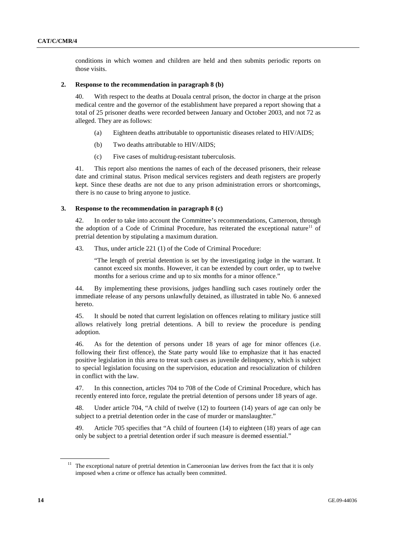conditions in which women and children are held and then submits periodic reports on those visits.

#### **2. Response to the recommendation in paragraph 8 (b)**

40. With respect to the deaths at Douala central prison, the doctor in charge at the prison medical centre and the governor of the establishment have prepared a report showing that a total of 25 prisoner deaths were recorded between January and October 2003, and not 72 as alleged. They are as follows:

- (a) Eighteen deaths attributable to opportunistic diseases related to HIV/AIDS;
- (b) Two deaths attributable to HIV/AIDS;
- (c) Five cases of multidrug-resistant tuberculosis.

41. This report also mentions the names of each of the deceased prisoners, their release date and criminal status. Prison medical services registers and death registers are properly kept. Since these deaths are not due to any prison administration errors or shortcomings, there is no cause to bring anyone to justice.

#### **3. Response to the recommendation in paragraph 8 (c)**

42. In order to take into account the Committee's recommendations, Cameroon, through the adoption of a Code of Criminal Procedure, has reiterated the exceptional nature<sup>11</sup> of pretrial detention by stipulating a maximum duration.

43. Thus, under article 221 (1) of the Code of Criminal Procedure:

"The length of pretrial detention is set by the investigating judge in the warrant. It cannot exceed six months. However, it can be extended by court order, up to twelve months for a serious crime and up to six months for a minor offence."

44. By implementing these provisions, judges handling such cases routinely order the immediate release of any persons unlawfully detained, as illustrated in table No. 6 annexed hereto.

45. It should be noted that current legislation on offences relating to military justice still allows relatively long pretrial detentions. A bill to review the procedure is pending adoption.

46. As for the detention of persons under 18 years of age for minor offences (i.e. following their first offence), the State party would like to emphasize that it has enacted positive legislation in this area to treat such cases as juvenile delinquency, which is subject to special legislation focusing on the supervision, education and resocialization of children in conflict with the law.

47. In this connection, articles 704 to 708 of the Code of Criminal Procedure, which has recently entered into force, regulate the pretrial detention of persons under 18 years of age.

48. Under article 704, "A child of twelve (12) to fourteen (14) years of age can only be subject to a pretrial detention order in the case of murder or manslaughter."

49. Article 705 specifies that "A child of fourteen (14) to eighteen (18) years of age can only be subject to a pretrial detention order if such measure is deemed essential."

 $11$  The exceptional nature of pretrial detention in Cameroonian law derives from the fact that it is only imposed when a crime or offence has actually been committed.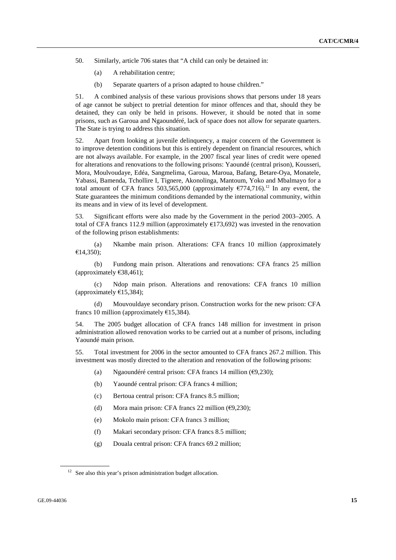- 50. Similarly, article 706 states that "A child can only be detained in:
	- (a) A rehabilitation centre;
	- (b) Separate quarters of a prison adapted to house children."

51. A combined analysis of these various provisions shows that persons under 18 years of age cannot be subject to pretrial detention for minor offences and that, should they be detained, they can only be held in prisons. However, it should be noted that in some prisons, such as Garoua and Ngaoundéré, lack of space does not allow for separate quarters. The State is trying to address this situation.

52. Apart from looking at juvenile delinquency, a major concern of the Government is to improve detention conditions but this is entirely dependent on financial resources, which are not always available. For example, in the 2007 fiscal year lines of credit were opened for alterations and renovations to the following prisons: Yaoundé (central prison), Kousseri, Mora, Moulvoudaye, Edéa, Sangmelima, Garoua, Maroua, Bafang, Betare-Oya, Monatele, Yabassi, Bamenda, Tchollire I, Tignere, Akonolinga, Mantoum, Yoko and Mbalmayo for a total amount of CFA francs 503,565,000 (approximately  $\epsilon$ 774,716).<sup>12</sup> In any event, the State guarantees the minimum conditions demanded by the international community, within its means and in view of its level of development.

53. Significant efforts were also made by the Government in the period 2003–2005. A total of CFA francs 112.9 million (approximately  $E$ 173.692) was invested in the renovation of the following prison establishments:

 (a) Nkambe main prison. Alterations: CFA francs 10 million (approximately €14,350);

 (b) Fundong main prison. Alterations and renovations: CFA francs 25 million (approximately  $€38,461$ );

 (c) Ndop main prison. Alterations and renovations: CFA francs 10 million (approximately  $£15,384$ );

 (d) Mouvouldaye secondary prison. Construction works for the new prison: CFA francs 10 million (approximately  $E$ 15,384).

54. The 2005 budget allocation of CFA francs 148 million for investment in prison administration allowed renovation works to be carried out at a number of prisons, including Yaoundé main prison.

55. Total investment for 2006 in the sector amounted to CFA francs 267.2 million. This investment was mostly directed to the alteration and renovation of the following prisons:

- (a) Ngaoundéré central prison: CFA francs 14 million ( $\epsilon$ 9,230);
- (b) Yaoundé central prison: CFA francs 4 million;
- (c) Bertoua central prison: CFA francs 8.5 million;
- (d) Mora main prison: CFA francs 22 million  $(69,230)$ ;
- (e) Mokolo main prison: CFA francs 3 million;
- (f) Makari secondary prison: CFA francs 8.5 million;
- (g) Douala central prison: CFA francs 69.2 million;

<sup>&</sup>lt;sup>12</sup> See also this year's prison administration budget allocation.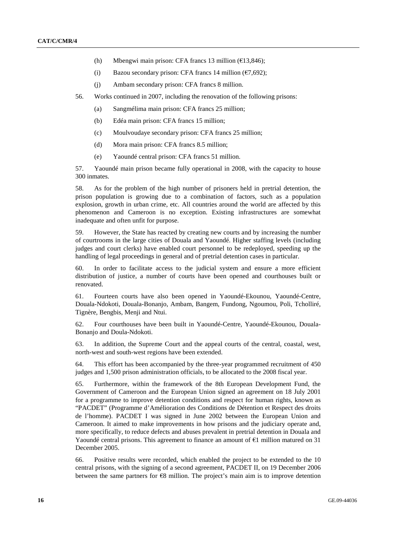- (h) Mbengwi main prison: CFA francs 13 million ( $\epsilon$ 13,846);
- (i) Bazou secondary prison: CFA francs 14 million ( $\epsilon$ 7.692);
- (j) Ambam secondary prison: CFA francs 8 million.
- 56. Works continued in 2007, including the renovation of the following prisons:
	- (a) Sangmélima main prison: CFA francs 25 million;
	- (b) Edéa main prison: CFA francs 15 million;
	- (c) Moulvoudaye secondary prison: CFA francs 25 million;
	- (d) Mora main prison: CFA francs 8.5 million;
	- (e) Yaoundé central prison: CFA francs 51 million.

57. Yaoundé main prison became fully operational in 2008, with the capacity to house 300 inmates.

58. As for the problem of the high number of prisoners held in pretrial detention, the prison population is growing due to a combination of factors, such as a population explosion, growth in urban crime, etc. All countries around the world are affected by this phenomenon and Cameroon is no exception. Existing infrastructures are somewhat inadequate and often unfit for purpose.

59. However, the State has reacted by creating new courts and by increasing the number of courtrooms in the large cities of Douala and Yaoundé. Higher staffing levels (including judges and court clerks) have enabled court personnel to be redeployed, speeding up the handling of legal proceedings in general and of pretrial detention cases in particular.

60. In order to facilitate access to the judicial system and ensure a more efficient distribution of justice, a number of courts have been opened and courthouses built or renovated.

61. Fourteen courts have also been opened in Yaoundé-Ekounou, Yaoundé-Centre, Douala-Ndokoti, Douala-Bonanjo, Ambam, Bangem, Fundong, Ngoumou, Poli, Tcholliré, Tignère, Bengbis, Menji and Ntui.

62. Four courthouses have been built in Yaoundé-Centre, Yaoundé-Ekounou, Douala-Bonanjo and Doula-Ndokoti.

63. In addition, the Supreme Court and the appeal courts of the central, coastal, west, north-west and south-west regions have been extended.

64. This effort has been accompanied by the three-year programmed recruitment of 450 judges and 1,500 prison administration officials, to be allocated to the 2008 fiscal year.

65. Furthermore, within the framework of the 8th European Development Fund, the Government of Cameroon and the European Union signed an agreement on 18 July 2001 for a programme to improve detention conditions and respect for human rights, known as "PACDET" (Programme d'Amélioration des Conditions de Détention et Respect des droits de l'homme). PACDET I was signed in June 2002 between the European Union and Cameroon. It aimed to make improvements in how prisons and the judiciary operate and, more specifically, to reduce defects and abuses prevalent in pretrial detention in Douala and Yaoundé central prisons. This agreement to finance an amount of  $E1$  million matured on 31 December 2005.

66. Positive results were recorded, which enabled the project to be extended to the 10 central prisons, with the signing of a second agreement, PACDET II, on 19 December 2006 between the same partners for  $\epsilon$ 8 million. The project's main aim is to improve detention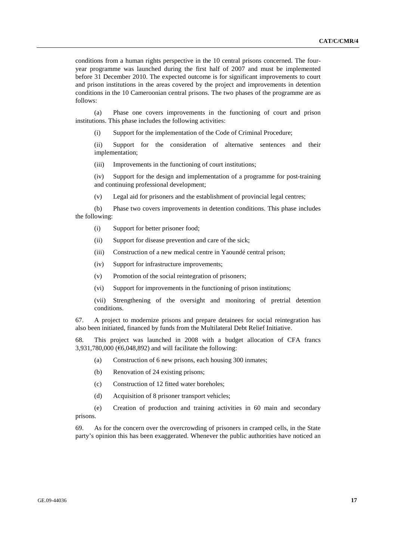conditions from a human rights perspective in the 10 central prisons concerned. The fouryear programme was launched during the first half of 2007 and must be implemented before 31 December 2010. The expected outcome is for significant improvements to court and prison institutions in the areas covered by the project and improvements in detention conditions in the 10 Cameroonian central prisons. The two phases of the programme are as follows:

 (a) Phase one covers improvements in the functioning of court and prison institutions. This phase includes the following activities:

(i) Support for the implementation of the Code of Criminal Procedure;

 (ii) Support for the consideration of alternative sentences and their implementation;

(iii) Improvements in the functioning of court institutions;

 (iv) Support for the design and implementation of a programme for post-training and continuing professional development;

(v) Legal aid for prisoners and the establishment of provincial legal centres;

 (b) Phase two covers improvements in detention conditions. This phase includes the following:

- (i) Support for better prisoner food;
- (ii) Support for disease prevention and care of the sick;
- (iii) Construction of a new medical centre in Yaoundé central prison;
- (iv) Support for infrastructure improvements;
- (v) Promotion of the social reintegration of prisoners;
- (vi) Support for improvements in the functioning of prison institutions;

 (vii) Strengthening of the oversight and monitoring of pretrial detention conditions.

67. A project to modernize prisons and prepare detainees for social reintegration has also been initiated, financed by funds from the Multilateral Debt Relief Initiative.

68. This project was launched in 2008 with a budget allocation of CFA francs 3,931,780,000 ( $\epsilon$ 6,048,892) and will facilitate the following:

- (a) Construction of 6 new prisons, each housing 300 inmates;
- (b) Renovation of 24 existing prisons;
- (c) Construction of 12 fitted water boreholes;
- (d) Acquisition of 8 prisoner transport vehicles;

 (e) Creation of production and training activities in 60 main and secondary prisons.

69. As for the concern over the overcrowding of prisoners in cramped cells, in the State party's opinion this has been exaggerated. Whenever the public authorities have noticed an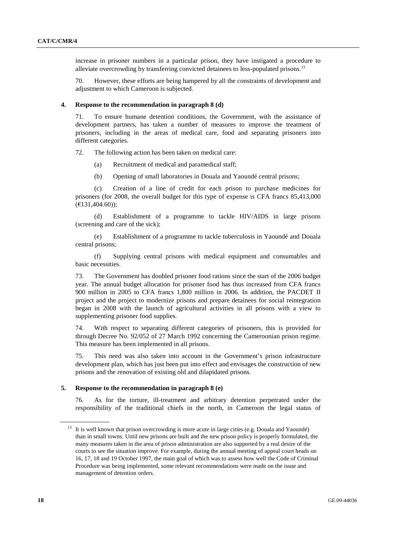increase in prisoner numbers in a particular prison, they have instigated a procedure to alleviate overcrowding by transferring convicted detainees to less-populated prisons.<sup>13</sup>

70. However, these efforts are being hampered by all the constraints of development and adjustment to which Cameroon is subjected.

#### **4. Response to the recommendation in paragraph 8 (d)**

71. To ensure humane detention conditions, the Government, with the assistance of development partners, has taken a number of measures to improve the treatment of prisoners, including in the areas of medical care, food and separating prisoners into different categories.

72. The following action has been taken on medical care:

- (a) Recruitment of medical and paramedical staff;
- (b) Opening of small laboratories in Douala and Yaoundé central prisons;

 (c) Creation of a line of credit for each prison to purchase medicines for prisoners (for 2008, the overall budget for this type of expense is CFA francs 85,413,000 (€131,404.60));

 (d) Establishment of a programme to tackle HIV/AIDS in large prisons (screening and care of the sick);

 (e) Establishment of a programme to tackle tuberculosis in Yaoundé and Douala central prisons;

 (f) Supplying central prisons with medical equipment and consumables and basic necessities.

73. The Government has doubled prisoner food rations since the start of the 2006 budget year. The annual budget allocation for prisoner food has thus increased from CFA francs 900 million in 2005 to CFA francs 1,800 million in 2006. In addition, the PACDET II project and the project to modernize prisons and prepare detainees for social reintegration began in 2008 with the launch of agricultural activities in all prisons with a view to supplementing prisoner food supplies.

74. With respect to separating different categories of prisoners, this is provided for through Decree No. 92/052 of 27 March 1992 concerning the Cameroonian prison regime. This measure has been implemented in all prisons.

75. This need was also taken into account in the Government's prison infrastructure development plan, which has just been put into effect and envisages the construction of new prisons and the renovation of existing old and dilapidated prisons.

#### **5. Response to the recommendation in paragraph 8 (e)**

76. As for the torture, ill-treatment and arbitrary detention perpetrated under the responsibility of the traditional chiefs in the north, in Cameroon the legal status of

<sup>&</sup>lt;sup>13</sup> It is well known that prison overcrowding is more acute in large cities (e.g. Douala and Yaoundé) than in small towns. Until new prisons are built and the new prison policy is properly formulated, the many measures taken in the area of prison administration are also supported by a real desire of the courts to see the situation improve. For example, during the annual meeting of appeal court heads on 16, 17, 18 and 19 October 1997, the main goal of which was to assess how well the Code of Criminal Procedure was being implemented, some relevant recommendations were made on the issue and management of detention orders.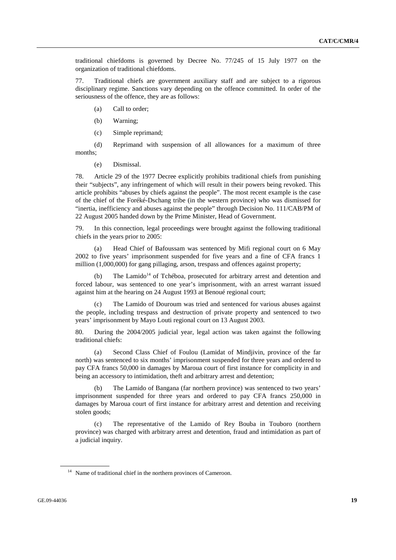traditional chiefdoms is governed by Decree No. 77/245 of 15 July 1977 on the organization of traditional chiefdoms.

77. Traditional chiefs are government auxiliary staff and are subject to a rigorous disciplinary regime. Sanctions vary depending on the offence committed. In order of the seriousness of the offence, they are as follows:

- (a) Call to order;
- (b) Warning;

(c) Simple reprimand;

 (d) Reprimand with suspension of all allowances for a maximum of three months;

(e) Dismissal.

78. Article 29 of the 1977 Decree explicitly prohibits traditional chiefs from punishing their "subjects", any infringement of which will result in their powers being revoked. This article prohibits "abuses by chiefs against the people". The most recent example is the case of the chief of the Foréké-Dschang tribe (in the western province) who was dismissed for "inertia, inefficiency and abuses against the people" through Decision No. 111/CAB/PM of 22 August 2005 handed down by the Prime Minister, Head of Government.

79. In this connection, legal proceedings were brought against the following traditional chiefs in the years prior to 2005:

 (a) Head Chief of Bafoussam was sentenced by Mifi regional court on 6 May 2002 to five years' imprisonment suspended for five years and a fine of CFA francs 1 million (1,000,000) for gang pillaging, arson, trespass and offences against property;

The Lamido<sup>14</sup> of Tchéboa, prosecuted for arbitrary arrest and detention and forced labour, was sentenced to one year's imprisonment, with an arrest warrant issued against him at the hearing on 24 August 1993 at Benoué regional court;

The Lamido of Douroum was tried and sentenced for various abuses against the people, including trespass and destruction of private property and sentenced to two years' imprisonment by Mayo Louti regional court on 13 August 2003.

80. During the 2004/2005 judicial year, legal action was taken against the following traditional chiefs:

 (a) Second Class Chief of Foulou (Lamidat of Mindjivin, province of the far north) was sentenced to six months' imprisonment suspended for three years and ordered to pay CFA francs 50,000 in damages by Maroua court of first instance for complicity in and being an accessory to intimidation, theft and arbitrary arrest and detention;

 (b) The Lamido of Bangana (far northern province) was sentenced to two years' imprisonment suspended for three years and ordered to pay CFA francs 250,000 in damages by Maroua court of first instance for arbitrary arrest and detention and receiving stolen goods;

 (c) The representative of the Lamido of Rey Bouba in Touboro (northern province) was charged with arbitrary arrest and detention, fraud and intimidation as part of a judicial inquiry.

<sup>&</sup>lt;sup>14</sup> Name of traditional chief in the northern provinces of Cameroon.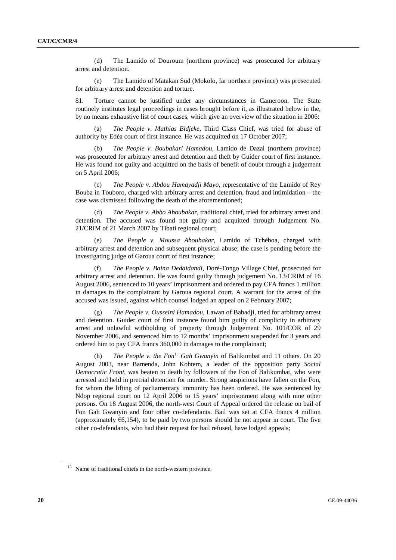(d) The Lamido of Douroum (northern province) was prosecuted for arbitrary arrest and detention.

 (e) The Lamido of Matakan Sud (Mokolo, far northern province) was prosecuted for arbitrary arrest and detention and torture.

81. Torture cannot be justified under any circumstances in Cameroon. The State routinely institutes legal proceedings in cases brought before it, as illustrated below in the, by no means exhaustive list of court cases, which give an overview of the situation in 2006:

 (a) *The People v. Mathias Bidjeke*, Third Class Chief, was tried for abuse of authority by Edéa court of first instance. He was acquitted on 17 October 2007;

 (b) *The People v. Boubakari Hamadou*, Lamido de Dazal (northern province) was prosecuted for arbitrary arrest and detention and theft by Guider court of first instance. He was found not guilty and acquitted on the basis of benefit of doubt through a judgement on 5 April 2006;

 (c) *The People v. Abdou Hamayadji Mayo*, representative of the Lamido of Rey Bouba in Touboro, charged with arbitrary arrest and detention, fraud and intimidation – the case was dismissed following the death of the aforementioned;

 (d) *The People v. Abbo Aboubakar*, traditional chief, tried for arbitrary arrest and detention. The accused was found not guilty and acquitted through Judgement No. 21/CRIM of 21 March 2007 by Tibati regional court;

 (e) *The People v. Moussa Aboubakar*, Lamido of Tchéboa, charged with arbitrary arrest and detention and subsequent physical abuse; the case is pending before the investigating judge of Garoua court of first instance;

 (f) *The People v. Baina Dedaidandi*, Doré-Tongo Village Chief, prosecuted for arbitrary arrest and detention. He was found guilty through judgement No. 13/CRIM of 16 August 2006, sentenced to 10 years' imprisonment and ordered to pay CFA francs 1 million in damages to the complainant by Garoua regional court. A warrant for the arrest of the accused was issued, against which counsel lodged an appeal on 2 February 2007;

 (g) *The People v. Ousseini Hamadou*, Lawan of Babadji, tried for arbitrary arrest and detention. Guider court of first instance found him guilty of complicity in arbitrary arrest and unlawful withholding of property through Judgement No. 101/COR of 29 November 2006, and sentenced him to 12 months' imprisonment suspended for 3 years and ordered him to pay CFA francs 360,000 in damages to the complainant;

 (h) *The People v. the Fon*<sup>15</sup> *Gah Gwanyin* of Balikumbat and 11 others. On 20 August 2003, near Bamenda, John Kohtem, a leader of the opposition party *Social Democratic Front*, was beaten to death by followers of the Fon of Balikumbat, who were arrested and held in pretrial detention for murder. Strong suspicions have fallen on the Fon, for whom the lifting of parliamentary immunity has been ordered. He was sentenced by Ndop regional court on 12 April 2006 to 15 years' imprisonment along with nine other persons. On 18 August 2006, the north-west Court of Appeal ordered the release on bail of Fon Gah Gwanyin and four other co-defendants. Bail was set at CFA francs 4 million (approximately  $\epsilon$ 6,154), to be paid by two persons should he not appear in court. The five other co-defendants, who had their request for bail refused, have lodged appeals;

<sup>&</sup>lt;sup>15</sup> Name of traditional chiefs in the north-western province.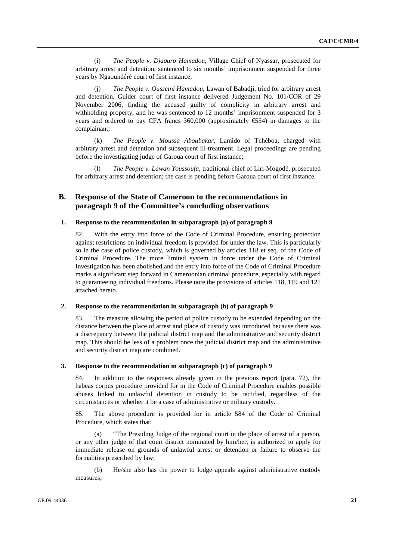(i) *The People v. Djaouro Hamadou*, Village Chief of Nyassar, prosecuted for arbitrary arrest and detention, sentenced to six months' imprisonment suspended for three years by Ngaoundéré court of first instance;

 (j) *The People v. Ousseini Hamadou*, Lawan of Babadji, tried for arbitrary arrest and detention. Guider court of first instance delivered Judgement No. 101/COR of 29 November 2006, finding the accused guilty of complicity in arbitrary arrest and withholding property, and he was sentenced to 12 months' imprisonment suspended for 3 years and ordered to pay CFA francs 360,000 (approximately  $\epsilon$ 554) in damages to the complainant;

 (k) *The People v. Moussa Aboubakar*, Lamido of Tchéboa, charged with arbitrary arrest and detention and subsequent ill-treatment. Legal proceedings are pending before the investigating judge of Garoua court of first instance;

 (l) *The People v. Lawan Youssoufa*, traditional chief of Liri-Mogodé, prosecuted for arbitrary arrest and detention; the case is pending before Garoua court of first instance.

## **B. Response of the State of Cameroon to the recommendations in paragraph 9 of the Committee's concluding observations**

### **1. Response to the recommendation in subparagraph (a) of paragraph 9**

82. With the entry into force of the Code of Criminal Procedure, ensuring protection against restrictions on individual freedom is provided for under the law. This is particularly so in the case of police custody, which is governed by articles 118 et seq. of the Code of Criminal Procedure. The more limited system in force under the Code of Criminal Investigation has been abolished and the entry into force of the Code of Criminal Procedure marks a significant step forward in Cameroonian criminal procedure, especially with regard to guaranteeing individual freedoms. Please note the provisions of articles 118, 119 and 121 attached hereto.

#### **2. Response to the recommendation in subparagraph (b) of paragraph 9**

83. The measure allowing the period of police custody to be extended depending on the distance between the place of arrest and place of custody was introduced because there was a discrepancy between the judicial district map and the administrative and security district map. This should be less of a problem once the judicial district map and the administrative and security district map are combined.

#### **3. Response to the recommendation in subparagraph (c) of paragraph 9**

84. In addition to the responses already given in the previous report (para. 72), the habeas corpus procedure provided for in the Code of Criminal Procedure enables possible abuses linked to unlawful detention in custody to be rectified, regardless of the circumstances or whether it be a case of administrative or military custody.

85. The above procedure is provided for in article 584 of the Code of Criminal Procedure, which states that:

 (a) "The Presiding Judge of the regional court in the place of arrest of a person, or any other judge of that court district nominated by him/her, is authorized to apply for immediate release on grounds of unlawful arrest or detention or failure to observe the formalities prescribed by law;

 (b) He/she also has the power to lodge appeals against administrative custody measures;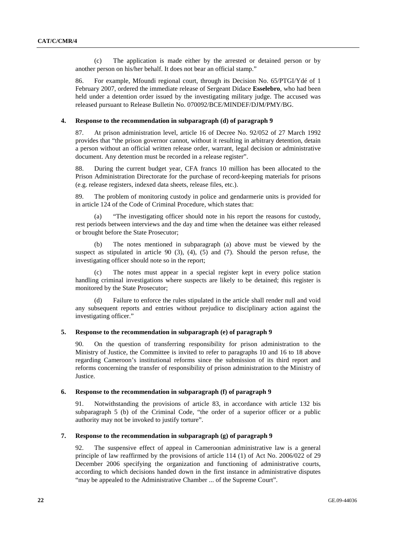(c) The application is made either by the arrested or detained person or by another person on his/her behalf. It does not bear an official stamp."

86. For example, Mfoundi regional court, through its Decision No. 65/PTGI/Ydé of 1 February 2007, ordered the immediate release of Sergeant Didace **Esselebro**, who had been held under a detention order issued by the investigating military judge. The accused was released pursuant to Release Bulletin No. 070092/BCE/MINDEF/DJM/PMY/BG.

#### **4. Response to the recommendation in subparagraph (d) of paragraph 9**

87. At prison administration level, article 16 of Decree No. 92/052 of 27 March 1992 provides that "the prison governor cannot, without it resulting in arbitrary detention, detain a person without an official written release order, warrant, legal decision or administrative document. Any detention must be recorded in a release register".

88. During the current budget year, CFA francs 10 million has been allocated to the Prison Administration Directorate for the purchase of record-keeping materials for prisons (e.g. release registers, indexed data sheets, release files, etc.).

89. The problem of monitoring custody in police and gendarmerie units is provided for in article 124 of the Code of Criminal Procedure, which states that:

 (a) "The investigating officer should note in his report the reasons for custody, rest periods between interviews and the day and time when the detainee was either released or brought before the State Prosecutor;

 (b) The notes mentioned in subparagraph (a) above must be viewed by the suspect as stipulated in article  $90$  (3), (4), (5) and (7). Should the person refuse, the investigating officer should note so in the report;

 (c) The notes must appear in a special register kept in every police station handling criminal investigations where suspects are likely to be detained; this register is monitored by the State Prosecutor;

 (d) Failure to enforce the rules stipulated in the article shall render null and void any subsequent reports and entries without prejudice to disciplinary action against the investigating officer."

#### **5. Response to the recommendation in subparagraph (e) of paragraph 9**

90. On the question of transferring responsibility for prison administration to the Ministry of Justice, the Committee is invited to refer to paragraphs 10 and 16 to 18 above regarding Cameroon's institutional reforms since the submission of its third report and reforms concerning the transfer of responsibility of prison administration to the Ministry of Justice.

### **6. Response to the recommendation in subparagraph (f) of paragraph 9**

91. Notwithstanding the provisions of article 83, in accordance with article 132 bis subparagraph 5 (b) of the Criminal Code, "the order of a superior officer or a public authority may not be invoked to justify torture".

#### **7. Response to the recommendation in subparagraph (g) of paragraph 9**

92. The suspensive effect of appeal in Cameroonian administrative law is a general principle of law reaffirmed by the provisions of article 114 (1) of Act No. 2006/022 of 29 December 2006 specifying the organization and functioning of administrative courts, according to which decisions handed down in the first instance in administrative disputes "may be appealed to the Administrative Chamber ... of the Supreme Court".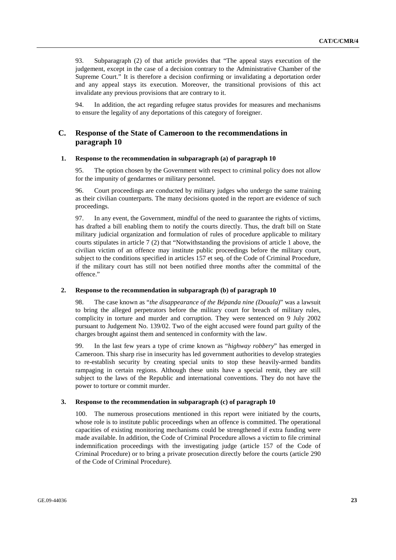93. Subparagraph (2) of that article provides that "The appeal stays execution of the judgement, except in the case of a decision contrary to the Administrative Chamber of the Supreme Court." It is therefore a decision confirming or invalidating a deportation order and any appeal stays its execution. Moreover, the transitional provisions of this act invalidate any previous provisions that are contrary to it.

94. In addition, the act regarding refugee status provides for measures and mechanisms to ensure the legality of any deportations of this category of foreigner.

## **C. Response of the State of Cameroon to the recommendations in paragraph 10**

#### **1. Response to the recommendation in subparagraph (a) of paragraph 10**

95. The option chosen by the Government with respect to criminal policy does not allow for the impunity of gendarmes or military personnel.

96. Court proceedings are conducted by military judges who undergo the same training as their civilian counterparts. The many decisions quoted in the report are evidence of such proceedings.

97. In any event, the Government, mindful of the need to guarantee the rights of victims, has drafted a bill enabling them to notify the courts directly. Thus, the draft bill on State military judicial organization and formulation of rules of procedure applicable to military courts stipulates in article 7 (2) that "Notwithstanding the provisions of article 1 above, the civilian victim of an offence may institute public proceedings before the military court, subject to the conditions specified in articles 157 et seq. of the Code of Criminal Procedure, if the military court has still not been notified three months after the committal of the offence."

### **2. Response to the recommendation in subparagraph (b) of paragraph 10**

98. The case known as "*the disappearance of the Bépanda nine (Douala)*" was a lawsuit to bring the alleged perpetrators before the military court for breach of military rules, complicity in torture and murder and corruption. They were sentenced on 9 July 2002 pursuant to Judgement No. 139/02. Two of the eight accused were found part guilty of the charges brought against them and sentenced in conformity with the law.

99. In the last few years a type of crime known as "*highway robbery*" has emerged in Cameroon. This sharp rise in insecurity has led government authorities to develop strategies to re-establish security by creating special units to stop these heavily-armed bandits rampaging in certain regions. Although these units have a special remit, they are still subject to the laws of the Republic and international conventions. They do not have the power to torture or commit murder.

#### **3. Response to the recommendation in subparagraph (c) of paragraph 10**

100. The numerous prosecutions mentioned in this report were initiated by the courts, whose role is to institute public proceedings when an offence is committed. The operational capacities of existing monitoring mechanisms could be strengthened if extra funding were made available. In addition, the Code of Criminal Procedure allows a victim to file criminal indemnification proceedings with the investigating judge (article 157 of the Code of Criminal Procedure) or to bring a private prosecution directly before the courts (article 290 of the Code of Criminal Procedure).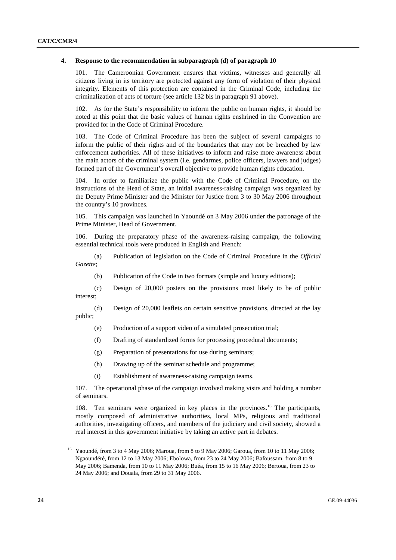#### **4. Response to the recommendation in subparagraph (d) of paragraph 10**

101. The Cameroonian Government ensures that victims, witnesses and generally all citizens living in its territory are protected against any form of violation of their physical integrity. Elements of this protection are contained in the Criminal Code, including the criminalization of acts of torture (see article 132 bis in paragraph 91 above).

102. As for the State's responsibility to inform the public on human rights, it should be noted at this point that the basic values of human rights enshrined in the Convention are provided for in the Code of Criminal Procedure.

103. The Code of Criminal Procedure has been the subject of several campaigns to inform the public of their rights and of the boundaries that may not be breached by law enforcement authorities. All of these initiatives to inform and raise more awareness about the main actors of the criminal system (i.e. gendarmes, police officers, lawyers and judges) formed part of the Government's overall objective to provide human rights education.

104. In order to familiarize the public with the Code of Criminal Procedure, on the instructions of the Head of State, an initial awareness-raising campaign was organized by the Deputy Prime Minister and the Minister for Justice from 3 to 30 May 2006 throughout the country's 10 provinces.

105. This campaign was launched in Yaoundé on 3 May 2006 under the patronage of the Prime Minister, Head of Government.

106. During the preparatory phase of the awareness-raising campaign, the following essential technical tools were produced in English and French:

 (a) Publication of legislation on the Code of Criminal Procedure in the *Official Gazette*;

(b) Publication of the Code in two formats (simple and luxury editions);

 (c) Design of 20,000 posters on the provisions most likely to be of public interest;

 (d) Design of 20,000 leaflets on certain sensitive provisions, directed at the lay public;

- (e) Production of a support video of a simulated prosecution trial;
- (f) Drafting of standardized forms for processing procedural documents;
- (g) Preparation of presentations for use during seminars;
- (h) Drawing up of the seminar schedule and programme;
- (i) Establishment of awareness-raising campaign teams.

107. The operational phase of the campaign involved making visits and holding a number of seminars.

108. Ten seminars were organized in key places in the provinces.<sup>16</sup> The participants, mostly composed of administrative authorities, local MPs, religious and traditional authorities, investigating officers, and members of the judiciary and civil society, showed a real interest in this government initiative by taking an active part in debates.

<sup>16</sup> Yaoundé, from 3 to 4 May 2006; Maroua, from 8 to 9 May 2006; Garoua, from 10 to 11 May 2006; Ngaoundéré, from 12 to 13 May 2006; Ebolowa, from 23 to 24 May 2006; Bafoussam, from 8 to 9 May 2006; Bamenda, from 10 to 11 May 2006; Buéa, from 15 to 16 May 2006; Bertoua, from 23 to 24 May 2006; and Douala, from 29 to 31 May 2006.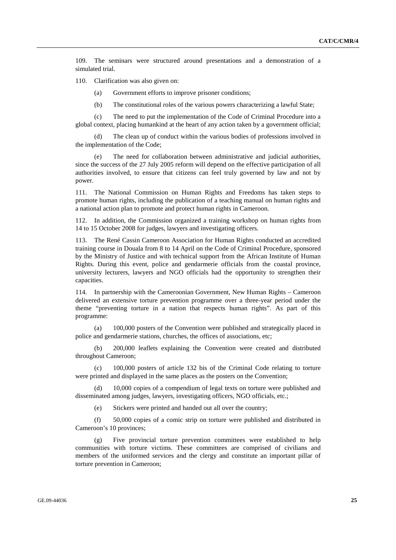109. The seminars were structured around presentations and a demonstration of a simulated trial.

110. Clarification was also given on:

- (a) Government efforts to improve prisoner conditions;
- (b) The constitutional roles of the various powers characterizing a lawful State;

 (c) The need to put the implementation of the Code of Criminal Procedure into a global context, placing humankind at the heart of any action taken by a government official;

 (d) The clean up of conduct within the various bodies of professions involved in the implementation of the Code;

 (e) The need for collaboration between administrative and judicial authorities, since the success of the 27 July 2005 reform will depend on the effective participation of all authorities involved, to ensure that citizens can feel truly governed by law and not by power.

111. The National Commission on Human Rights and Freedoms has taken steps to promote human rights, including the publication of a teaching manual on human rights and a national action plan to promote and protect human rights in Cameroon.

112. In addition, the Commission organized a training workshop on human rights from 14 to 15 October 2008 for judges, lawyers and investigating officers.

113. The René Cassin Cameroon Association for Human Rights conducted an accredited training course in Douala from 8 to 14 April on the Code of Criminal Procedure, sponsored by the Ministry of Justice and with technical support from the African Institute of Human Rights. During this event, police and gendarmerie officials from the coastal province, university lecturers, lawyers and NGO officials had the opportunity to strengthen their capacities.

114. In partnership with the Cameroonian Government, New Human Rights – Cameroon delivered an extensive torture prevention programme over a three-year period under the theme "preventing torture in a nation that respects human rights". As part of this programme:

 (a) 100,000 posters of the Convention were published and strategically placed in police and gendarmerie stations, churches, the offices of associations, etc;

 (b) 200,000 leaflets explaining the Convention were created and distributed throughout Cameroon;

 (c) 100,000 posters of article 132 bis of the Criminal Code relating to torture were printed and displayed in the same places as the posters on the Convention;

 (d) 10,000 copies of a compendium of legal texts on torture were published and disseminated among judges, lawyers, investigating officers, NGO officials, etc.;

(e) Stickers were printed and handed out all over the country;

 (f) 50,000 copies of a comic strip on torture were published and distributed in Cameroon's 10 provinces;

 (g) Five provincial torture prevention committees were established to help communities with torture victims. These committees are comprised of civilians and members of the uniformed services and the clergy and constitute an important pillar of torture prevention in Cameroon;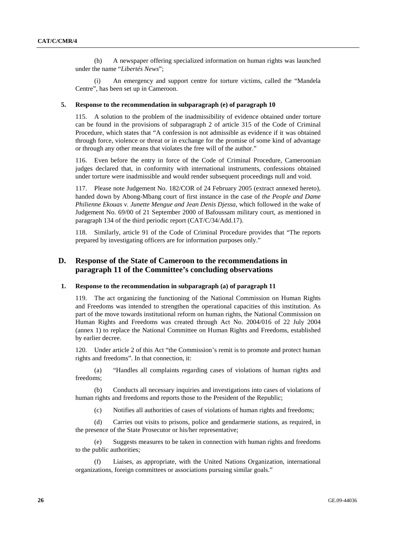(h) A newspaper offering specialized information on human rights was launched under the name "*Libertés News*";

 (i) An emergency and support centre for torture victims, called the "Mandela Centre", has been set up in Cameroon.

#### **5. Response to the recommendation in subparagraph (e) of paragraph 10**

115. A solution to the problem of the inadmissibility of evidence obtained under torture can be found in the provisions of subparagraph 2 of article 315 of the Code of Criminal Procedure, which states that "A confession is not admissible as evidence if it was obtained through force, violence or threat or in exchange for the promise of some kind of advantage or through any other means that violates the free will of the author."

116. Even before the entry in force of the Code of Criminal Procedure, Cameroonian judges declared that, in conformity with international instruments, confessions obtained under torture were inadmissible and would render subsequent proceedings null and void.

117. Please note Judgement No. 182/COR of 24 February 2005 (extract annexed hereto), handed down by Abong-Mbang court of first instance in the case of *the People and Dame Philienne Ekouas v. Junette Mengue and Jean Denis Djessa*, which followed in the wake of Judgement No. 69/00 of 21 September 2000 of Bafoussam military court, as mentioned in paragraph 134 of the third periodic report (CAT/C/34/Add.17).

118. Similarly, article 91 of the Code of Criminal Procedure provides that "The reports prepared by investigating officers are for information purposes only."

## **D. Response of the State of Cameroon to the recommendations in paragraph 11 of the Committee's concluding observations**

#### **1. Response to the recommendation in subparagraph (a) of paragraph 11**

119. The act organizing the functioning of the National Commission on Human Rights and Freedoms was intended to strengthen the operational capacities of this institution. As part of the move towards institutional reform on human rights, the National Commission on Human Rights and Freedoms was created through Act No. 2004/016 of 22 July 2004 (annex 1) to replace the National Committee on Human Rights and Freedoms, established by earlier decree.

120. Under article 2 of this Act "the Commission's remit is to promote and protect human rights and freedoms". In that connection, it:

 (a) "Handles all complaints regarding cases of violations of human rights and freedoms;

 (b) Conducts all necessary inquiries and investigations into cases of violations of human rights and freedoms and reports those to the President of the Republic;

(c) Notifies all authorities of cases of violations of human rights and freedoms;

 (d) Carries out visits to prisons, police and gendarmerie stations, as required, in the presence of the State Prosecutor or his/her representative;

 (e) Suggests measures to be taken in connection with human rights and freedoms to the public authorities;

 (f) Liaises, as appropriate, with the United Nations Organization, international organizations, foreign committees or associations pursuing similar goals."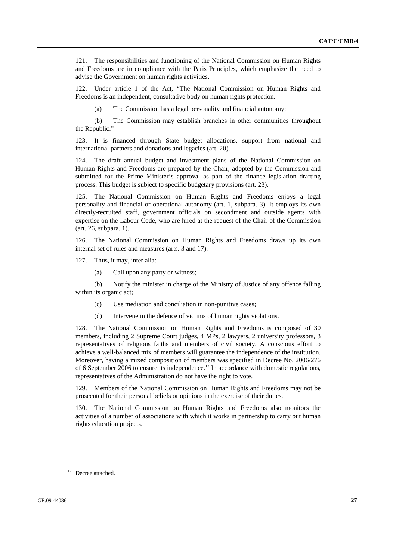121. The responsibilities and functioning of the National Commission on Human Rights and Freedoms are in compliance with the Paris Principles, which emphasize the need to advise the Government on human rights activities.

122. Under article 1 of the Act, "The National Commission on Human Rights and Freedoms is an independent, consultative body on human rights protection.

(a) The Commission has a legal personality and financial autonomy;

 (b) The Commission may establish branches in other communities throughout the Republic."

123. It is financed through State budget allocations, support from national and international partners and donations and legacies (art. 20).

124. The draft annual budget and investment plans of the National Commission on Human Rights and Freedoms are prepared by the Chair, adopted by the Commission and submitted for the Prime Minister's approval as part of the finance legislation drafting process. This budget is subject to specific budgetary provisions (art. 23).

125. The National Commission on Human Rights and Freedoms enjoys a legal personality and financial or operational autonomy (art. 1, subpara. 3). It employs its own directly-recruited staff, government officials on secondment and outside agents with expertise on the Labour Code, who are hired at the request of the Chair of the Commission (art. 26, subpara. 1).

126. The National Commission on Human Rights and Freedoms draws up its own internal set of rules and measures (arts. 3 and 17).

127. Thus, it may, inter alia:

(a) Call upon any party or witness;

 (b) Notify the minister in charge of the Ministry of Justice of any offence falling within its organic act;

- (c) Use mediation and conciliation in non-punitive cases;
- (d) Intervene in the defence of victims of human rights violations.

128. The National Commission on Human Rights and Freedoms is composed of 30 members, including 2 Supreme Court judges, 4 MPs, 2 lawyers, 2 university professors, 3 representatives of religious faiths and members of civil society. A conscious effort to achieve a well-balanced mix of members will guarantee the independence of the institution. Moreover, having a mixed composition of members was specified in Decree No. 2006/276 of 6 September 2006 to ensure its independence.<sup>17</sup> In accordance with domestic regulations, representatives of the Administration do not have the right to vote.

129. Members of the National Commission on Human Rights and Freedoms may not be prosecuted for their personal beliefs or opinions in the exercise of their duties.

130. The National Commission on Human Rights and Freedoms also monitors the activities of a number of associations with which it works in partnership to carry out human rights education projects.

<sup>17</sup> Decree attached.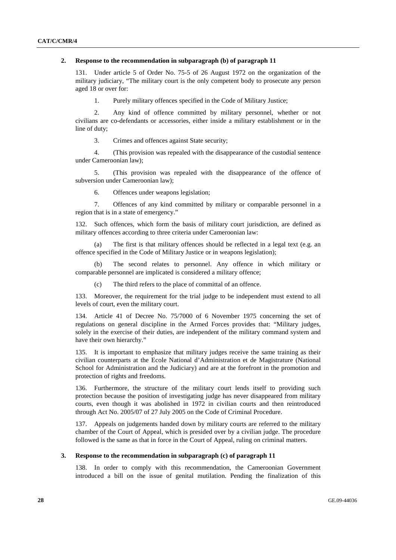#### **2. Response to the recommendation in subparagraph (b) of paragraph 11**

131. Under article 5 of Order No. 75-5 of 26 August 1972 on the organization of the military judiciary, "The military court is the only competent body to prosecute any person aged 18 or over for:

1. Purely military offences specified in the Code of Military Justice;

 2. Any kind of offence committed by military personnel, whether or not civilians are co-defendants or accessories, either inside a military establishment or in the line of duty;

3. Crimes and offences against State security;

 4. (This provision was repealed with the disappearance of the custodial sentence under Cameroonian law);

 5. (This provision was repealed with the disappearance of the offence of subversion under Cameroonian law);

6. Offences under weapons legislation;

 7. Offences of any kind committed by military or comparable personnel in a region that is in a state of emergency."

132. Such offences, which form the basis of military court jurisdiction, are defined as military offences according to three criteria under Cameroonian law:

 (a) The first is that military offences should be reflected in a legal text (e.g. an offence specified in the Code of Military Justice or in weapons legislation);

 (b) The second relates to personnel. Any offence in which military or comparable personnel are implicated is considered a military offence;

(c) The third refers to the place of committal of an offence.

133. Moreover, the requirement for the trial judge to be independent must extend to all levels of court, even the military court.

134. Article 41 of Decree No. 75/7000 of 6 November 1975 concerning the set of regulations on general discipline in the Armed Forces provides that: "Military judges, solely in the exercise of their duties, are independent of the military command system and have their own hierarchy."

135. It is important to emphasize that military judges receive the same training as their civilian counterparts at the Ecole National d'Administration et de Magistrature (National School for Administration and the Judiciary) and are at the forefront in the promotion and protection of rights and freedoms.

136. Furthermore, the structure of the military court lends itself to providing such protection because the position of investigating judge has never disappeared from military courts, even though it was abolished in 1972 in civilian courts and then reintroduced through Act No. 2005/07 of 27 July 2005 on the Code of Criminal Procedure.

137. Appeals on judgements handed down by military courts are referred to the military chamber of the Court of Appeal, which is presided over by a civilian judge. The procedure followed is the same as that in force in the Court of Appeal, ruling on criminal matters.

### **3. Response to the recommendation in subparagraph (c) of paragraph 11**

138. In order to comply with this recommendation, the Cameroonian Government introduced a bill on the issue of genital mutilation. Pending the finalization of this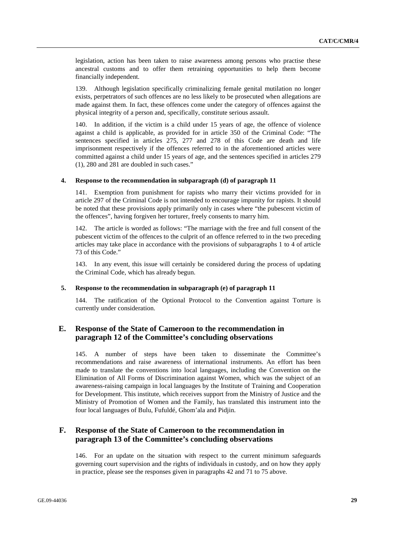legislation, action has been taken to raise awareness among persons who practise these ancestral customs and to offer them retraining opportunities to help them become financially independent.

139. Although legislation specifically criminalizing female genital mutilation no longer exists, perpetrators of such offences are no less likely to be prosecuted when allegations are made against them. In fact, these offences come under the category of offences against the physical integrity of a person and, specifically, constitute serious assault.

140. In addition, if the victim is a child under 15 years of age, the offence of violence against a child is applicable, as provided for in article 350 of the Criminal Code: "The sentences specified in articles 275, 277 and 278 of this Code are death and life imprisonment respectively if the offences referred to in the aforementioned articles were committed against a child under 15 years of age, and the sentences specified in articles 279 (1), 280 and 281 are doubled in such cases."

#### **4. Response to the recommendation in subparagraph (d) of paragraph 11**

141. Exemption from punishment for rapists who marry their victims provided for in article 297 of the Criminal Code is not intended to encourage impunity for rapists. It should be noted that these provisions apply primarily only in cases where "the pubescent victim of the offences", having forgiven her torturer, freely consents to marry him.

142. The article is worded as follows: "The marriage with the free and full consent of the pubescent victim of the offences to the culprit of an offence referred to in the two preceding articles may take place in accordance with the provisions of subparagraphs 1 to 4 of article 73 of this Code."

143. In any event, this issue will certainly be considered during the process of updating the Criminal Code, which has already begun.

#### **5. Response to the recommendation in subparagraph (e) of paragraph 11**

144. The ratification of the Optional Protocol to the Convention against Torture is currently under consideration.

## **E. Response of the State of Cameroon to the recommendation in paragraph 12 of the Committee's concluding observations**

145. A number of steps have been taken to disseminate the Committee's recommendations and raise awareness of international instruments. An effort has been made to translate the conventions into local languages, including the Convention on the Elimination of All Forms of Discrimination against Women, which was the subject of an awareness-raising campaign in local languages by the Institute of Training and Cooperation for Development. This institute, which receives support from the Ministry of Justice and the Ministry of Promotion of Women and the Family, has translated this instrument into the four local languages of Bulu, Fufuldé, Ghom'ala and Pidjin.

## **F. Response of the State of Cameroon to the recommendation in paragraph 13 of the Committee's concluding observations**

146. For an update on the situation with respect to the current minimum safeguards governing court supervision and the rights of individuals in custody, and on how they apply in practice, please see the responses given in paragraphs 42 and 71 to 75 above.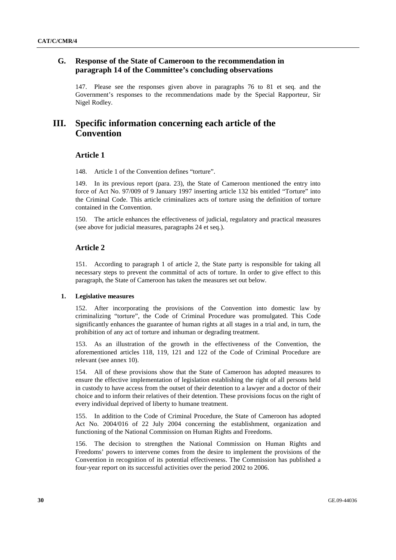## **G. Response of the State of Cameroon to the recommendation in paragraph 14 of the Committee's concluding observations**

147. Please see the responses given above in paragraphs 76 to 81 et seq. and the Government's responses to the recommendations made by the Special Rapporteur, Sir Nigel Rodley.

## **III. Specific information concerning each article of the Convention**

### **Article 1**

148. Article 1 of the Convention defines "torture".

149. In its previous report (para. 23), the State of Cameroon mentioned the entry into force of Act No. 97/009 of 9 January 1997 inserting article 132 bis entitled "Torture" into the Criminal Code. This article criminalizes acts of torture using the definition of torture contained in the Convention.

150. The article enhances the effectiveness of judicial, regulatory and practical measures (see above for judicial measures, paragraphs 24 et seq.).

## **Article 2**

151. According to paragraph 1 of article 2, the State party is responsible for taking all necessary steps to prevent the committal of acts of torture. In order to give effect to this paragraph, the State of Cameroon has taken the measures set out below.

### **1. Legislative measures**

152. After incorporating the provisions of the Convention into domestic law by criminalizing "torture", the Code of Criminal Procedure was promulgated. This Code significantly enhances the guarantee of human rights at all stages in a trial and, in turn, the prohibition of any act of torture and inhuman or degrading treatment.

153. As an illustration of the growth in the effectiveness of the Convention, the aforementioned articles 118, 119, 121 and 122 of the Code of Criminal Procedure are relevant (see annex 10).

154. All of these provisions show that the State of Cameroon has adopted measures to ensure the effective implementation of legislation establishing the right of all persons held in custody to have access from the outset of their detention to a lawyer and a doctor of their choice and to inform their relatives of their detention. These provisions focus on the right of every individual deprived of liberty to humane treatment.

155. In addition to the Code of Criminal Procedure, the State of Cameroon has adopted Act No. 2004/016 of 22 July 2004 concerning the establishment, organization and functioning of the National Commission on Human Rights and Freedoms.

156. The decision to strengthen the National Commission on Human Rights and Freedoms' powers to intervene comes from the desire to implement the provisions of the Convention in recognition of its potential effectiveness. The Commission has published a four-year report on its successful activities over the period 2002 to 2006.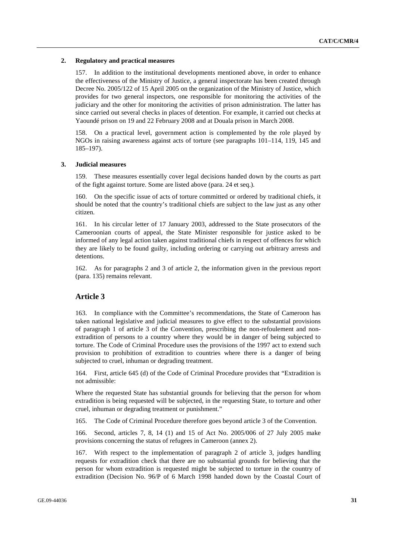#### **2. Regulatory and practical measures**

157. In addition to the institutional developments mentioned above, in order to enhance the effectiveness of the Ministry of Justice, a general inspectorate has been created through Decree No. 2005/122 of 15 April 2005 on the organization of the Ministry of Justice, which provides for two general inspectors, one responsible for monitoring the activities of the judiciary and the other for monitoring the activities of prison administration. The latter has since carried out several checks in places of detention. For example, it carried out checks at Yaoundé prison on 19 and 22 February 2008 and at Douala prison in March 2008.

158. On a practical level, government action is complemented by the role played by NGOs in raising awareness against acts of torture (see paragraphs 101–114, 119, 145 and 185–197).

#### **3. Judicial measures**

159. These measures essentially cover legal decisions handed down by the courts as part of the fight against torture. Some are listed above (para. 24 et seq.).

160. On the specific issue of acts of torture committed or ordered by traditional chiefs, it should be noted that the country's traditional chiefs are subject to the law just as any other citizen.

161. In his circular letter of 17 January 2003, addressed to the State prosecutors of the Cameroonian courts of appeal, the State Minister responsible for justice asked to be informed of any legal action taken against traditional chiefs in respect of offences for which they are likely to be found guilty, including ordering or carrying out arbitrary arrests and detentions.

162. As for paragraphs 2 and 3 of article 2, the information given in the previous report (para. 135) remains relevant.

## **Article 3**

163. In compliance with the Committee's recommendations, the State of Cameroon has taken national legislative and judicial measures to give effect to the substantial provisions of paragraph 1 of article 3 of the Convention, prescribing the non-refoulement and nonextradition of persons to a country where they would be in danger of being subjected to torture. The Code of Criminal Procedure uses the provisions of the 1997 act to extend such provision to prohibition of extradition to countries where there is a danger of being subjected to cruel, inhuman or degrading treatment.

164. First, article 645 (d) of the Code of Criminal Procedure provides that "Extradition is not admissible:

Where the requested State has substantial grounds for believing that the person for whom extradition is being requested will be subjected, in the requesting State, to torture and other cruel, inhuman or degrading treatment or punishment."

165. The Code of Criminal Procedure therefore goes beyond article 3 of the Convention.

166. Second, articles 7, 8, 14 (1) and 15 of Act No. 2005/006 of 27 July 2005 make provisions concerning the status of refugees in Cameroon (annex 2).

167. With respect to the implementation of paragraph 2 of article 3, judges handling requests for extradition check that there are no substantial grounds for believing that the person for whom extradition is requested might be subjected to torture in the country of extradition (Decision No. 96/P of 6 March 1998 handed down by the Coastal Court of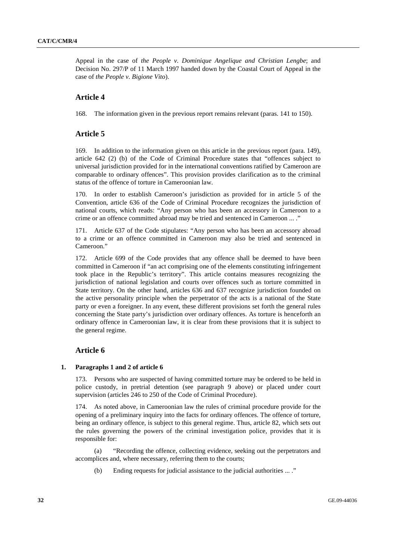Appeal in the case of *the People v. Dominique Angelique and Christian Lengbe*; and Decision No. 297/P of 11 March 1997 handed down by the Coastal Court of Appeal in the case of *the People v. Bigione Vito*).

## **Article 4**

168. The information given in the previous report remains relevant (paras. 141 to 150).

### **Article 5**

169. In addition to the information given on this article in the previous report (para. 149), article 642 (2) (b) of the Code of Criminal Procedure states that "offences subject to universal jurisdiction provided for in the international conventions ratified by Cameroon are comparable to ordinary offences". This provision provides clarification as to the criminal status of the offence of torture in Cameroonian law.

170. In order to establish Cameroon's jurisdiction as provided for in article 5 of the Convention, article 636 of the Code of Criminal Procedure recognizes the jurisdiction of national courts, which reads: "Any person who has been an accessory in Cameroon to a crime or an offence committed abroad may be tried and sentenced in Cameroon ... ."

171. Article 637 of the Code stipulates: "Any person who has been an accessory abroad to a crime or an offence committed in Cameroon may also be tried and sentenced in Cameroon."

172. Article 699 of the Code provides that any offence shall be deemed to have been committed in Cameroon if "an act comprising one of the elements constituting infringement took place in the Republic's territory". This article contains measures recognizing the jurisdiction of national legislation and courts over offences such as torture committed in State territory. On the other hand, articles 636 and 637 recognize jurisdiction founded on the active personality principle when the perpetrator of the acts is a national of the State party or even a foreigner. In any event, these different provisions set forth the general rules concerning the State party's jurisdiction over ordinary offences. As torture is henceforth an ordinary offence in Cameroonian law, it is clear from these provisions that it is subject to the general regime.

#### **Article 6**

#### **1. Paragraphs 1 and 2 of article 6**

173. Persons who are suspected of having committed torture may be ordered to be held in police custody, in pretrial detention (see paragraph 9 above) or placed under court supervision (articles 246 to 250 of the Code of Criminal Procedure).

174. As noted above, in Cameroonian law the rules of criminal procedure provide for the opening of a preliminary inquiry into the facts for ordinary offences. The offence of torture, being an ordinary offence, is subject to this general regime. Thus, article 82, which sets out the rules governing the powers of the criminal investigation police, provides that it is responsible for:

 (a) "Recording the offence, collecting evidence, seeking out the perpetrators and accomplices and, where necessary, referring them to the courts;

(b) Ending requests for judicial assistance to the judicial authorities ... ."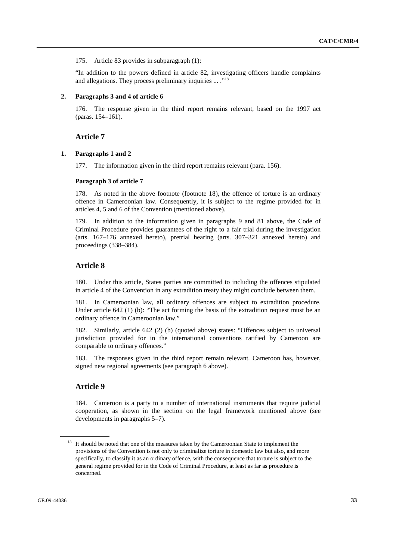175. Article 83 provides in subparagraph (1):

"In addition to the powers defined in article 82, investigating officers handle complaints and allegations. They process preliminary inquiries ... ."<sup>18</sup>

#### **2. Paragraphs 3 and 4 of article 6**

176. The response given in the third report remains relevant, based on the 1997 act (paras. 154–161).

## **Article 7**

### **1. Paragraphs 1 and 2**

177. The information given in the third report remains relevant (para. 156).

### **Paragraph 3 of article 7**

178. As noted in the above footnote (footnote 18), the offence of torture is an ordinary offence in Cameroonian law. Consequently, it is subject to the regime provided for in articles 4, 5 and 6 of the Convention (mentioned above).

179. In addition to the information given in paragraphs 9 and 81 above, the Code of Criminal Procedure provides guarantees of the right to a fair trial during the investigation (arts. 167–176 annexed hereto), pretrial hearing (arts. 307–321 annexed hereto) and proceedings (338–384).

## **Article 8**

180. Under this article, States parties are committed to including the offences stipulated in article 4 of the Convention in any extradition treaty they might conclude between them.

181. In Cameroonian law, all ordinary offences are subject to extradition procedure. Under article 642 (1) (b): "The act forming the basis of the extradition request must be an ordinary offence in Cameroonian law."

182. Similarly, article 642 (2) (b) (quoted above) states: "Offences subject to universal jurisdiction provided for in the international conventions ratified by Cameroon are comparable to ordinary offences."

183. The responses given in the third report remain relevant. Cameroon has, however, signed new regional agreements (see paragraph 6 above).

## **Article 9**

184. Cameroon is a party to a number of international instruments that require judicial cooperation, as shown in the section on the legal framework mentioned above (see developments in paragraphs 5–7).

<sup>&</sup>lt;sup>18</sup> It should be noted that one of the measures taken by the Cameroonian State to implement the provisions of the Convention is not only to criminalize torture in domestic law but also, and more specifically, to classify it as an ordinary offence, with the consequence that torture is subject to the general regime provided for in the Code of Criminal Procedure, at least as far as procedure is concerned.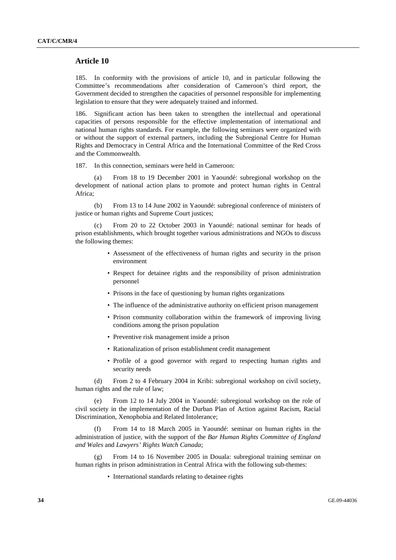### **Article 10**

185. In conformity with the provisions of article 10, and in particular following the Committee's recommendations after consideration of Cameroon's third report, the Government decided to strengthen the capacities of personnel responsible for implementing legislation to ensure that they were adequately trained and informed.

186. Significant action has been taken to strengthen the intellectual and operational capacities of persons responsible for the effective implementation of international and national human rights standards. For example, the following seminars were organized with or without the support of external partners, including the Subregional Centre for Human Rights and Democracy in Central Africa and the International Committee of the Red Cross and the Commonwealth.

187. In this connection, seminars were held in Cameroon:

From 18 to 19 December 2001 in Yaoundé: subregional workshop on the development of national action plans to promote and protect human rights in Central Africa;

 (b) From 13 to 14 June 2002 in Yaoundé: subregional conference of ministers of justice or human rights and Supreme Court justices;

 (c) From 20 to 22 October 2003 in Yaoundé: national seminar for heads of prison establishments, which brought together various administrations and NGOs to discuss the following themes:

- Assessment of the effectiveness of human rights and security in the prison environment
- Respect for detainee rights and the responsibility of prison administration personnel
- Prisons in the face of questioning by human rights organizations
- The influence of the administrative authority on efficient prison management
- Prison community collaboration within the framework of improving living conditions among the prison population
- Preventive risk management inside a prison
- Rationalization of prison establishment credit management
- Profile of a good governor with regard to respecting human rights and security needs

 (d) From 2 to 4 February 2004 in Kribi: subregional workshop on civil society, human rights and the rule of law;

From 12 to 14 July 2004 in Yaoundé: subregional workshop on the role of civil society in the implementation of the Durban Plan of Action against Racism, Racial Discrimination, Xenophobia and Related Intolerance;

 (f) From 14 to 18 March 2005 in Yaoundé: seminar on human rights in the administration of justice, with the support of the *Bar Human Rights Committee of England and Wales* and *Lawyers' Rights Watch Canada*;

 (g) From 14 to 16 November 2005 in Douala: subregional training seminar on human rights in prison administration in Central Africa with the following sub-themes:

• International standards relating to detainee rights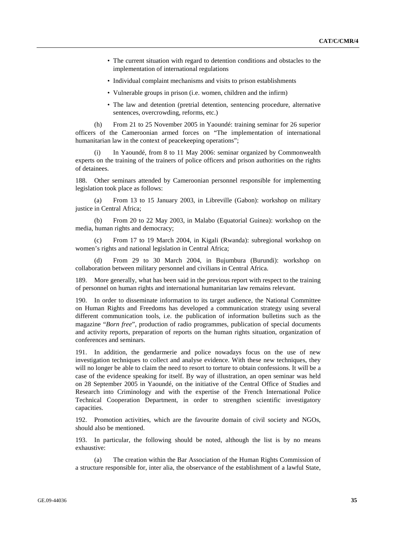- The current situation with regard to detention conditions and obstacles to the implementation of international regulations
- Individual complaint mechanisms and visits to prison establishments
- Vulnerable groups in prison (i.e. women, children and the infirm)
- The law and detention (pretrial detention, sentencing procedure, alternative sentences, overcrowding, reforms, etc.)

 (h) From 21 to 25 November 2005 in Yaoundé: training seminar for 26 superior officers of the Cameroonian armed forces on "The implementation of international humanitarian law in the context of peacekeeping operations";

In Yaoundé, from 8 to 11 May 2006: seminar organized by Commonwealth experts on the training of the trainers of police officers and prison authorities on the rights of detainees.

188. Other seminars attended by Cameroonian personnel responsible for implementing legislation took place as follows:

 (a) From 13 to 15 January 2003, in Libreville (Gabon): workshop on military justice in Central Africa:

 (b) From 20 to 22 May 2003, in Malabo (Equatorial Guinea): workshop on the media, human rights and democracy;

 (c) From 17 to 19 March 2004, in Kigali (Rwanda): subregional workshop on women's rights and national legislation in Central Africa;

 (d) From 29 to 30 March 2004, in Bujumbura (Burundi): workshop on collaboration between military personnel and civilians in Central Africa.

189. More generally, what has been said in the previous report with respect to the training of personnel on human rights and international humanitarian law remains relevant.

190. In order to disseminate information to its target audience, the National Committee on Human Rights and Freedoms has developed a communication strategy using several different communication tools, i.e. the publication of information bulletins such as the magazine "*Born free*", production of radio programmes, publication of special documents and activity reports, preparation of reports on the human rights situation, organization of conferences and seminars.

191. In addition, the gendarmerie and police nowadays focus on the use of new investigation techniques to collect and analyse evidence. With these new techniques, they will no longer be able to claim the need to resort to torture to obtain confessions. It will be a case of the evidence speaking for itself. By way of illustration, an open seminar was held on 28 September 2005 in Yaoundé, on the initiative of the Central Office of Studies and Research into Criminology and with the expertise of the French International Police Technical Cooperation Department, in order to strengthen scientific investigatory capacities.

192. Promotion activities, which are the favourite domain of civil society and NGOs, should also be mentioned.

193. In particular, the following should be noted, although the list is by no means exhaustive:

 (a) The creation within the Bar Association of the Human Rights Commission of a structure responsible for, inter alia, the observance of the establishment of a lawful State,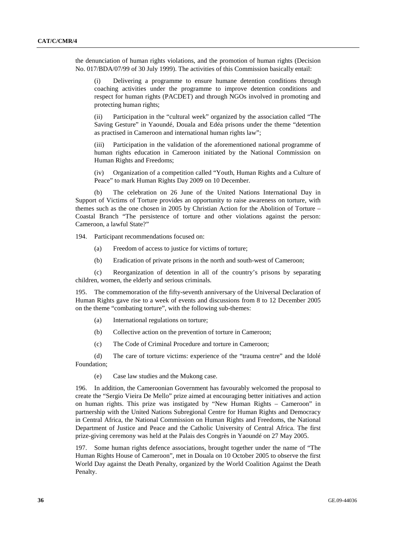the denunciation of human rights violations, and the promotion of human rights (Decision No. 017/BDA/07/99 of 30 July 1999). The activities of this Commission basically entail:

 (i) Delivering a programme to ensure humane detention conditions through coaching activities under the programme to improve detention conditions and respect for human rights (PACDET) and through NGOs involved in promoting and protecting human rights;

 (ii) Participation in the "cultural week" organized by the association called "The Saving Gesture" in Yaoundé, Douala and Edéa prisons under the theme "detention as practised in Cameroon and international human rights law";

 (iii) Participation in the validation of the aforementioned national programme of human rights education in Cameroon initiated by the National Commission on Human Rights and Freedoms;

 (iv) Organization of a competition called "Youth, Human Rights and a Culture of Peace" to mark Human Rights Day 2009 on 10 December.

 (b) The celebration on 26 June of the United Nations International Day in Support of Victims of Torture provides an opportunity to raise awareness on torture, with themes such as the one chosen in 2005 by Christian Action for the Abolition of Torture – Coastal Branch "The persistence of torture and other violations against the person: Cameroon, a lawful State?"

194. Participant recommendations focused on:

- (a) Freedom of access to justice for victims of torture;
- (b) Eradication of private prisons in the north and south-west of Cameroon;

 (c) Reorganization of detention in all of the country's prisons by separating children, women, the elderly and serious criminals.

195. The commemoration of the fifty-seventh anniversary of the Universal Declaration of Human Rights gave rise to a week of events and discussions from 8 to 12 December 2005 on the theme "combating torture", with the following sub-themes:

- (a) International regulations on torture;
- (b) Collective action on the prevention of torture in Cameroon;
- (c) The Code of Criminal Procedure and torture in Cameroon;

 (d) The care of torture victims: experience of the "trauma centre" and the Idolé Foundation;

(e) Case law studies and the Mukong case.

196. In addition, the Cameroonian Government has favourably welcomed the proposal to create the "Sergio Vieira De Mello" prize aimed at encouraging better initiatives and action on human rights. This prize was instigated by "New Human Rights – Cameroon" in partnership with the United Nations Subregional Centre for Human Rights and Democracy in Central Africa, the National Commission on Human Rights and Freedoms, the National Department of Justice and Peace and the Catholic University of Central Africa. The first prize-giving ceremony was held at the Palais des Congrès in Yaoundé on 27 May 2005.

197. Some human rights defence associations, brought together under the name of "The Human Rights House of Cameroon", met in Douala on 10 October 2005 to observe the first World Day against the Death Penalty, organized by the World Coalition Against the Death Penalty.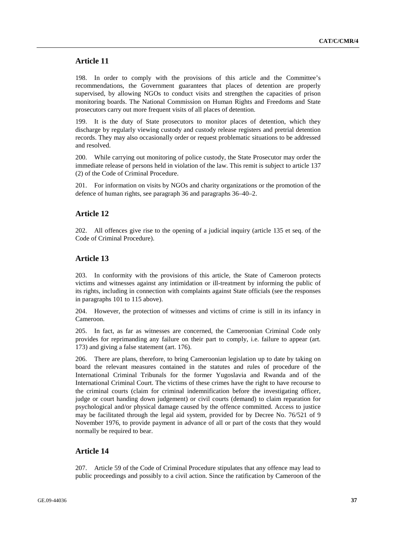## **Article 11**

198. In order to comply with the provisions of this article and the Committee's recommendations, the Government guarantees that places of detention are properly supervised, by allowing NGOs to conduct visits and strengthen the capacities of prison monitoring boards. The National Commission on Human Rights and Freedoms and State prosecutors carry out more frequent visits of all places of detention.

199. It is the duty of State prosecutors to monitor places of detention, which they discharge by regularly viewing custody and custody release registers and pretrial detention records. They may also occasionally order or request problematic situations to be addressed and resolved.

200. While carrying out monitoring of police custody, the State Prosecutor may order the immediate release of persons held in violation of the law. This remit is subject to article 137 (2) of the Code of Criminal Procedure.

201. For information on visits by NGOs and charity organizations or the promotion of the defence of human rights, see paragraph 36 and paragraphs 36–40–2.

## **Article 12**

202. All offences give rise to the opening of a judicial inquiry (article 135 et seq. of the Code of Criminal Procedure).

### **Article 13**

203. In conformity with the provisions of this article, the State of Cameroon protects victims and witnesses against any intimidation or ill-treatment by informing the public of its rights, including in connection with complaints against State officials (see the responses in paragraphs 101 to 115 above).

204. However, the protection of witnesses and victims of crime is still in its infancy in Cameroon.

205. In fact, as far as witnesses are concerned, the Cameroonian Criminal Code only provides for reprimanding any failure on their part to comply, i.e. failure to appear (art. 173) and giving a false statement (art. 176).

206. There are plans, therefore, to bring Cameroonian legislation up to date by taking on board the relevant measures contained in the statutes and rules of procedure of the International Criminal Tribunals for the former Yugoslavia and Rwanda and of the International Criminal Court. The victims of these crimes have the right to have recourse to the criminal courts (claim for criminal indemnification before the investigating officer, judge or court handing down judgement) or civil courts (demand) to claim reparation for psychological and/or physical damage caused by the offence committed. Access to justice may be facilitated through the legal aid system, provided for by Decree No. 76/521 of 9 November 1976, to provide payment in advance of all or part of the costs that they would normally be required to bear.

### **Article 14**

207. Article 59 of the Code of Criminal Procedure stipulates that any offence may lead to public proceedings and possibly to a civil action. Since the ratification by Cameroon of the